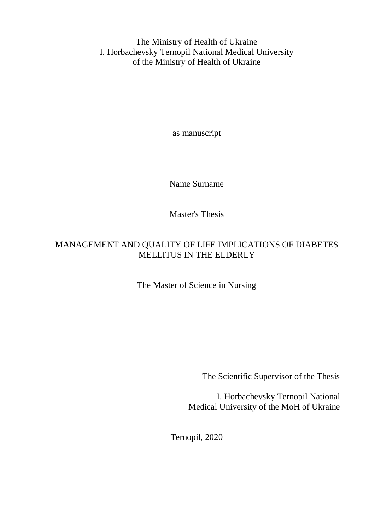The Ministry of Health of Ukraine I. Horbachevsky Ternopil National Medical University of the Ministry of Health of Ukraine

as manuscript

Name Surname

Master's Thesis

### MANAGEMENT AND QUALITY OF LIFE IMPLICATIONS OF DIABETES MELLITUS IN THE ELDERLY

The Master of Science in Nursing

The Scientific Supervisor of the Thesis

I. Horbachevsky Ternopil National Medical University of the MoH of Ukraine

Ternopil, 2020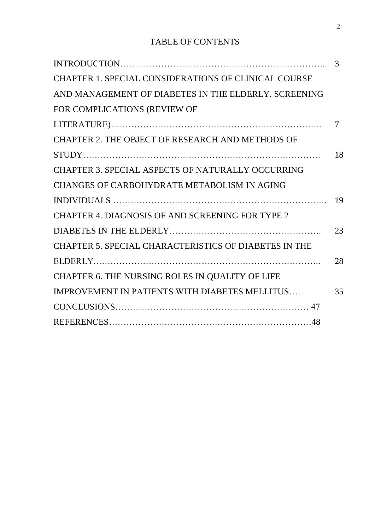## TABLE OF CONTENTS

|                                                             | 3      |
|-------------------------------------------------------------|--------|
| <b>CHAPTER 1. SPECIAL CONSIDERATIONS OF CLINICAL COURSE</b> |        |
| AND MANAGEMENT OF DIABETES IN THE ELDERLY. SCREENING        |        |
| FOR COMPLICATIONS (REVIEW OF                                |        |
|                                                             | $\tau$ |
| CHAPTER 2. THE OBJECT OF RESEARCH AND METHODS OF            |        |
|                                                             | 18     |
| <b>CHAPTER 3. SPECIAL ASPECTS OF NATURALLY OCCURRING</b>    |        |
| CHANGES OF CARBOHYDRATE METABOLISM IN AGING                 |        |
|                                                             | 19     |
| <b>CHAPTER 4. DIAGNOSIS OF AND SCREENING FOR TYPE 2</b>     |        |
|                                                             | 23     |
| CHAPTER 5. SPECIAL CHARACTERISTICS OF DIABETES IN THE       |        |
|                                                             | 28     |
| CHAPTER 6. THE NURSING ROLES IN QUALITY OF LIFE             |        |
| <b>IMPROVEMENT IN PATIENTS WITH DIABETES MELLITUS</b>       | 35     |
|                                                             |        |
|                                                             |        |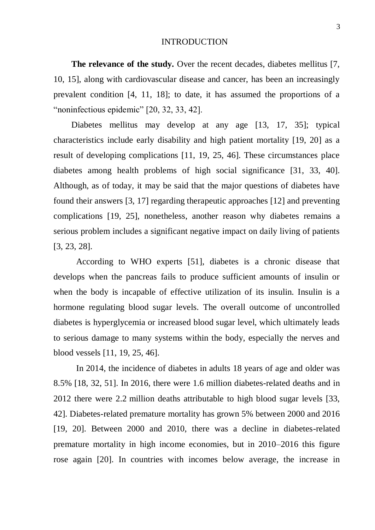#### INTRODUCTION

**The relevance of the study.** Over the recent decades, diabetes mellitus [7, 10, 15], along with cardiovascular disease and cancer, has been an increasingly prevalent condition [4, 11, 18]; to date, it has assumed the proportions of a "noninfectious epidemic" [20, 32, 33, 42].

Diabetes mellitus may develop at any age [13, 17, 35]; typical characteristics include early disability and high patient mortality [19, 20] as a result of developing complications [11, 19, 25, 46]. These circumstances place diabetes among health problems of high social significance [31, 33, 40]. Although, as of today, it may be said that the major questions of diabetes have found their answers [3, 17] regarding therapeutic approaches [12] and preventing complications [19, 25], nonetheless, another reason why diabetes remains a serious problem includes a significant negative impact on daily living of patients [3, 23, 28].

According to WHO experts [51], diabetes is a chronic disease that develops when the pancreas fails to produce sufficient amounts of insulin or when the body is incapable of effective utilization of its insulin. Insulin is a hormone regulating blood sugar levels. The overall outcome of uncontrolled diabetes is hyperglycemia or increased blood sugar level, which ultimately leads to serious damage to many systems within the body, especially the nerves and blood vessels [11, 19, 25, 46].

In 2014, the incidence of diabetes in adults 18 years of age and older was 8.5% [18, 32, 51]. In 2016, there were 1.6 million diabetes-related deaths and in 2012 there were 2.2 million deaths attributable to high blood sugar levels [33, 42]. Diabetes-related premature mortality has grown 5% between 2000 and 2016 [19, 20]. Between 2000 and 2010, there was a decline in diabetes-related premature mortality in high income economies, but in 2010–2016 this figure rose again [20]. In countries with incomes below average, the increase in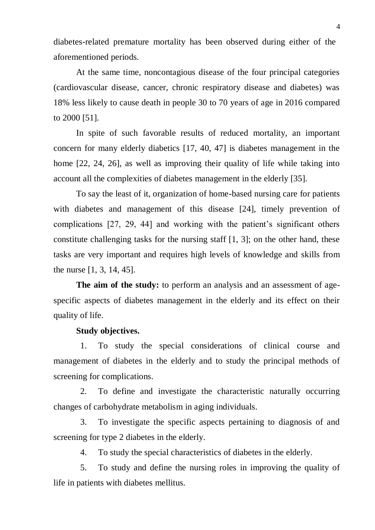diabetes-related premature mortality has been observed during either of the aforementioned periods.

At the same time, noncontagious disease of the four principal categories (cardiovascular disease, cancer, chronic respiratory disease and diabetes) was 18% less likely to cause death in people 30 to 70 years of age in 2016 compared to 2000 [51].

In spite of such favorable results of reduced mortality, an important concern for many elderly diabetics [17, 40, 47] is diabetes management in the home [22, 24, 26], as well as improving their quality of life while taking into account all the complexities of diabetes management in the elderly [35].

To say the least of it, organization of home-based nursing care for patients with diabetes and management of this disease [24], timely prevention of complications [27, 29, 44] and working with the patient's significant others constitute challenging tasks for the nursing staff [1, 3]; on the other hand, these tasks are very important and requires high levels of knowledge and skills from the nurse [1, 3, 14, 45].

**The aim of the study:** to perform an analysis and an assessment of agespecific aspects of diabetes management in the elderly and its effect on their quality of life.

### **Study objectives.**

1. To study the special considerations of clinical course and management of diabetes in the elderly and to study the principal methods of screening for complications.

2. To define and investigate the characteristic naturally occurring changes of carbohydrate metabolism in aging individuals.

3. To investigate the specific aspects pertaining to diagnosis of and screening for type 2 diabetes in the elderly.

4. To study the special characteristics of diabetes in the elderly.

5. To study and define the nursing roles in improving the quality of life in patients with diabetes mellitus.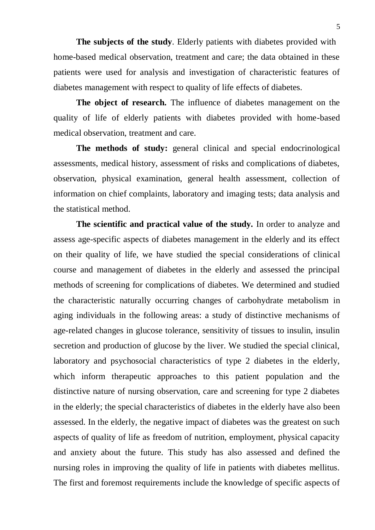**The subjects of the study**. Elderly patients with diabetes provided with home-based medical observation, treatment and care; the data obtained in these patients were used for analysis and investigation of characteristic features of diabetes management with respect to quality of life effects of diabetes.

**The object of research.** The influence of diabetes management on the quality of life of elderly patients with diabetes provided with home-based medical observation, treatment and care.

**The methods of study:** general clinical and special endocrinological assessments, medical history, assessment of risks and complications of diabetes, observation, physical examination, general health assessment, collection of information on chief complaints, laboratory and imaging tests; data analysis and the statistical method.

**The scientific and practical value of the study.** In order to analyze and assess age-specific aspects of diabetes management in the elderly and its effect on their quality of life, we have studied the special considerations of clinical course and management of diabetes in the elderly and assessed the principal methods of screening for complications of diabetes. We determined and studied the characteristic naturally occurring changes of carbohydrate metabolism in aging individuals in the following areas: a study of distinctive mechanisms of age-related changes in glucose tolerance, sensitivity of tissues to insulin, insulin secretion and production of glucose by the liver. We studied the special clinical, laboratory and psychosocial characteristics of type 2 diabetes in the elderly, which inform therapeutic approaches to this patient population and the distinctive nature of nursing observation, care and screening for type 2 diabetes in the elderly; the special characteristics of diabetes in the elderly have also been assessed. In the elderly, the negative impact of diabetes was the greatest on such aspects of quality of life as freedom of nutrition, employment, physical capacity and anxiety about the future. This study has also assessed and defined the nursing roles in improving the quality of life in patients with diabetes mellitus. The first and foremost requirements include the knowledge of specific aspects of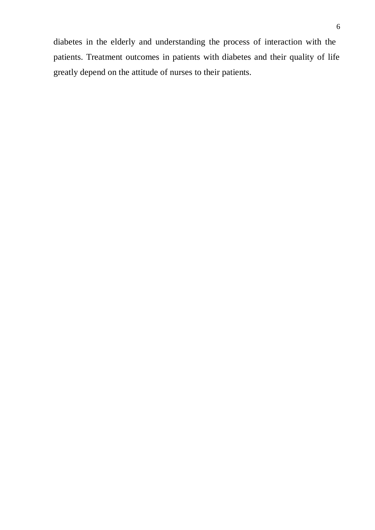diabetes in the elderly and understanding the process of interaction with the patients. Treatment outcomes in patients with diabetes and their quality of life greatly depend on the attitude of nurses to their patients.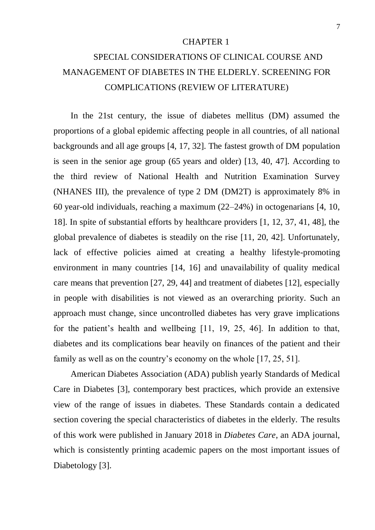#### CHAPTER 1

# SPECIAL CONSIDERATIONS OF CLINICAL COURSE AND MANAGEMENT OF DIABETES IN THE ELDERLY. SCREENING FOR COMPLICATIONS (REVIEW OF LITERATURE)

In the 21st century, the issue of diabetes mellitus (DM) assumed the proportions of a global epidemic affecting people in all countries, of all national backgrounds and all age groups [4, 17, 32]. The fastest growth of DM population is seen in the senior age group (65 years and older) [13, 40, 47]. According to the third review of National Health and Nutrition Examination Survey (NHANES III), the prevalence of type 2 DM (DM2T) is approximately 8% in 60 year-old individuals, reaching a maximum (22–24%) in octogenarians [4, 10, 18]. In spite of substantial efforts by healthcare providers [1, 12, 37, 41, 48], the global prevalence of diabetes is steadily on the rise [11, 20, 42]. Unfortunately, lack of effective policies aimed at creating a healthy lifestyle-promoting environment in many countries [14, 16] and unavailability of quality medical care means that prevention [27, 29, 44] and treatment of diabetes [12], especially in people with disabilities is not viewed as an overarching priority. Such an approach must change, since uncontrolled diabetes has very grave implications for the patient's health and wellbeing [11, 19, 25, 46]. In addition to that, diabetes and its complications bear heavily on finances of the patient and their family as well as on the country's economy on the whole [17, 25, 51].

American Diabetes Association (ADA) publish yearly Standards of Medical Care in Diabetes [3], contemporary best practices, which provide an extensive view of the range of issues in diabetes. These Standards contain a dedicated section covering the special characteristics of diabetes in the elderly. The results of this work were published in January 2018 in *Diabetes Care*, an ADA journal, which is consistently printing academic papers on the most important issues of Diabetology [3].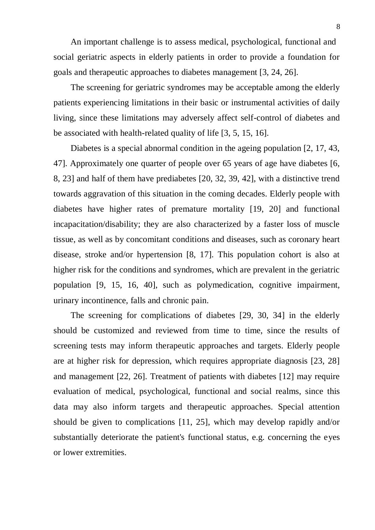An important challenge is to assess medical, psychological, functional and social geriatric aspects in elderly patients in order to provide a foundation for goals and therapeutic approaches to diabetes management [3, 24, 26].

The screening for geriatric syndromes may be acceptable among the elderly patients experiencing limitations in their basic or instrumental activities of daily living, since these limitations may adversely affect self-control of diabetes and be associated with health-related quality of life [3, 5, 15, 16].

Diabetes is a special abnormal condition in the ageing population [2, 17, 43, 47]. Approximately one quarter of people over 65 years of age have diabetes [6, 8, 23] and half of them have prediabetes [20, 32, 39, 42], with a distinctive trend towards aggravation of this situation in the coming decades. Elderly people with diabetes have higher rates of premature mortality [19, 20] and functional incapacitation/disability; they are also characterized by a faster loss of muscle tissue, as well as by concomitant conditions and diseases, such as coronary heart disease, stroke and/or hypertension [8, 17]. This population cohort is also at higher risk for the conditions and syndromes, which are prevalent in the geriatric population [9, 15, 16, 40], such as polymedication, cognitive impairment, urinary incontinence, falls and chronic pain.

The screening for complications of diabetes [29, 30, 34] in the elderly should be customized and reviewed from time to time, since the results of screening tests may inform therapeutic approaches and targets. Elderly people are at higher risk for depression, which requires appropriate diagnosis [23, 28] and management [22, 26]. Treatment of patients with diabetes [12] may require evaluation of medical, psychological, functional and social realms, since this data may also inform targets and therapeutic approaches. Special attention should be given to complications [11, 25], which may develop rapidly and/or substantially deteriorate the patient's functional status, e.g. concerning the eyes or lower extremities.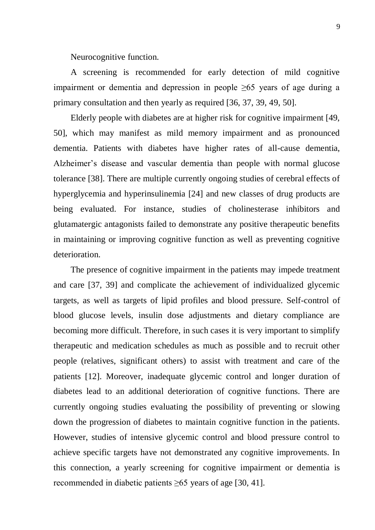Neurocognitive function.

A screening is recommended for early detection of mild cognitive impairment or dementia and depression in people  $\geq 65$  years of age during a primary consultation and then yearly as required [36, 37, 39, 49, 50].

Elderly people with diabetes are at higher risk for cognitive impairment [49, 50], which may manifest as mild memory impairment and as pronounced dementia. Patients with diabetes have higher rates of all-cause dementia, Alzheimer's disease and vascular dementia than people with normal glucose tolerance [38]. There are multiple currently ongoing studies of cerebral effects of hyperglycemia and hyperinsulinemia [24] and new classes of drug products are being evaluated. For instance, studies of cholinesterase inhibitors and glutamatergic antagonists failed to demonstrate any positive therapeutic benefits in maintaining or improving cognitive function as well as preventing cognitive deterioration.

The presence of cognitive impairment in the patients may impede treatment and care [37, 39] and complicate the achievement of individualized glycemic targets, as well as targets of lipid profiles and blood pressure. Self-control of blood glucose levels, insulin dose adjustments and dietary compliance are becoming more difficult. Therefore, in such cases it is very important to simplify therapeutic and medication schedules as much as possible and to recruit other people (relatives, significant others) to assist with treatment and care of the patients [12]. Moreover, inadequate glycemic control and longer duration of diabetes lead to an additional deterioration of cognitive functions. There are currently ongoing studies evaluating the possibility of preventing or slowing down the progression of diabetes to maintain cognitive function in the patients. However, studies of intensive glycemic control and blood pressure control to achieve specific targets have not demonstrated any cognitive improvements. In this connection, a yearly screening for cognitive impairment or dementia is recommended in diabetic patients ≥65 years of age [30, 41].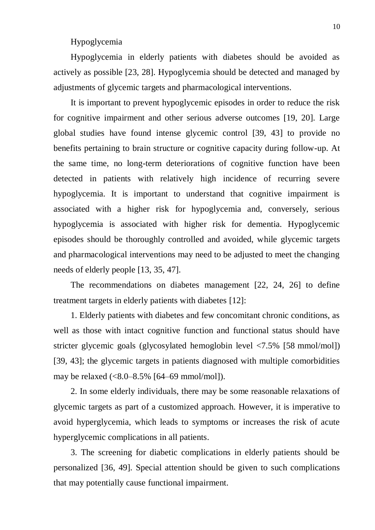### Hypoglycemia

Hypoglycemia in elderly patients with diabetes should be avoided as actively as possible [23, 28]. Hypoglycemia should be detected and managed by adjustments of glycemic targets and pharmacological interventions.

It is important to prevent hypoglycemic episodes in order to reduce the risk for cognitive impairment and other serious adverse outcomes [19, 20]. Large global studies have found intense glycemic control [39, 43] to provide no benefits pertaining to brain structure or cognitive capacity during follow-up. At the same time, no long-term deteriorations of cognitive function have been detected in patients with relatively high incidence of recurring severe hypoglycemia. It is important to understand that cognitive impairment is associated with a higher risk for hypoglycemia and, conversely, serious hypoglycemia is associated with higher risk for dementia. Hypoglycemic episodes should be thoroughly controlled and avoided, while glycemic targets and pharmacological interventions may need to be adjusted to meet the changing needs of elderly people [13, 35, 47].

The recommendations on diabetes management [22, 24, 26] to define treatment targets in elderly patients with diabetes [12]:

1. Elderly patients with diabetes and few concomitant chronic conditions, as well as those with intact cognitive function and functional status should have stricter glycemic goals (glycosylated hemoglobin level <7.5% [58 mmol/mol]) [39, 43]; the glycemic targets in patients diagnosed with multiple comorbidities may be relaxed  $(<8.0-8.5\%$  [64–69 mmol/mol]).

2. In some elderly individuals, there may be some reasonable relaxations of glycemic targets as part of a customized approach. However, it is imperative to avoid hyperglycemia, which leads to symptoms or increases the risk of acute hyperglycemic complications in all patients.

3. The screening for diabetic complications in elderly patients should be personalized [36, 49]. Special attention should be given to such complications that may potentially cause functional impairment.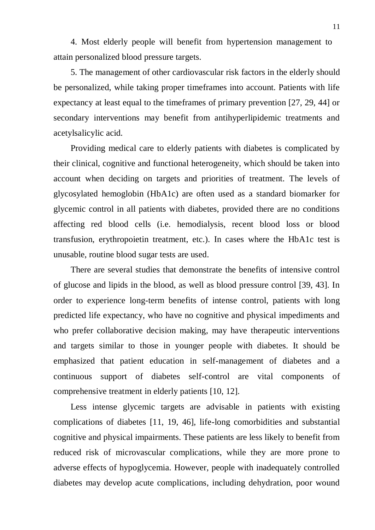4. Most elderly people will benefit from hypertension management to attain personalized blood pressure targets.

5. The management of other cardiovascular risk factors in the elderly should be personalized, while taking proper timeframes into account. Patients with life expectancy at least equal to the timeframes of primary prevention [27, 29, 44] or secondary interventions may benefit from antihyperlipidemic treatments and acetylsalicylic acid.

Providing medical care to elderly patients with diabetes is complicated by their clinical, cognitive and functional heterogeneity, which should be taken into account when deciding on targets and priorities of treatment. The levels of glycosylated hemoglobin (HbA1c) are often used as a standard biomarker for glycemic control in all patients with diabetes, provided there are no conditions affecting red blood cells (i.e. hemodialysis, recent blood loss or blood transfusion, erythropoietin treatment, etc.). In cases where the HbA1c test is unusable, routine blood sugar tests are used.

There are several studies that demonstrate the benefits of intensive control of glucose and lipids in the blood, as well as blood pressure control [39, 43]. In order to experience long-term benefits of intense control, patients with long predicted life expectancy, who have no cognitive and physical impediments and who prefer collaborative decision making, may have therapeutic interventions and targets similar to those in younger people with diabetes. It should be emphasized that patient education in self-management of diabetes and a continuous support of diabetes self-control are vital components of comprehensive treatment in elderly patients [10, 12].

Less intense glycemic targets are advisable in patients with existing complications of diabetes [11, 19, 46], life-long comorbidities and substantial cognitive and physical impairments. These patients are less likely to benefit from reduced risk of microvascular complications, while they are more prone to adverse effects of hypoglycemia. However, people with inadequately controlled diabetes may develop acute complications, including dehydration, poor wound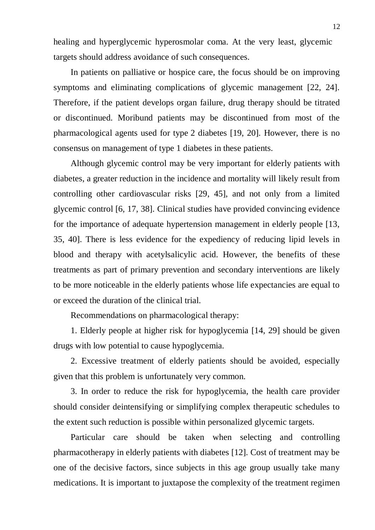healing and hyperglycemic hyperosmolar coma. At the very least, glycemic targets should address avoidance of such consequences.

In patients on palliative or hospice care, the focus should be on improving symptoms and eliminating complications of glycemic management [22, 24]. Therefore, if the patient develops organ failure, drug therapy should be titrated or discontinued. Moribund patients may be discontinued from most of the pharmacological agents used for type 2 diabetes [19, 20]. However, there is no consensus on management of type 1 diabetes in these patients.

Although glycemic control may be very important for elderly patients with diabetes, a greater reduction in the incidence and mortality will likely result from controlling other cardiovascular risks [29, 45], and not only from a limited glycemic control [6, 17, 38]. Clinical studies have provided convincing evidence for the importance of adequate hypertension management in elderly people [13, 35, 40]. There is less evidence for the expediency of reducing lipid levels in blood and therapy with acetylsalicylic acid. However, the benefits of these treatments as part of primary prevention and secondary interventions are likely to be more noticeable in the elderly patients whose life expectancies are equal to or exceed the duration of the clinical trial.

Recommendations on pharmacological therapy:

1. Elderly people at higher risk for hypoglycemia [14, 29] should be given drugs with low potential to cause hypoglycemia.

2. Excessive treatment of elderly patients should be avoided, especially given that this problem is unfortunately very common.

3. In order to reduce the risk for hypoglycemia, the health care provider should consider deintensifying or simplifying complex therapeutic schedules to the extent such reduction is possible within personalized glycemic targets.

Particular care should be taken when selecting and controlling pharmacotherapy in elderly patients with diabetes [12]. Cost of treatment may be one of the decisive factors, since subjects in this age group usually take many medications. It is important to juxtapose the complexity of the treatment regimen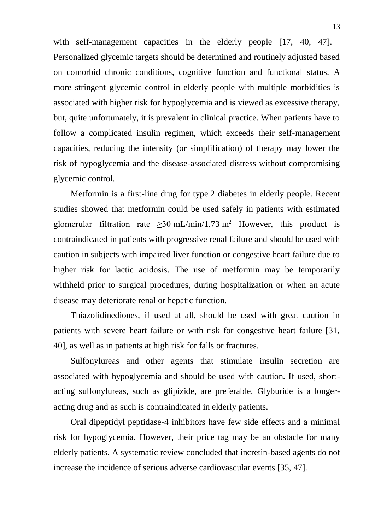with self-management capacities in the elderly people [17, 40, 47]. Personalized glycemic targets should be determined and routinely adjusted based on comorbid chronic conditions, cognitive function and functional status. A more stringent glycemic control in elderly people with multiple morbidities is associated with higher risk for hypoglycemia and is viewed as excessive therapy, but, quite unfortunately, it is prevalent in clinical practice. When patients have to follow a complicated insulin regimen, which exceeds their self-management capacities, reducing the intensity (or simplification) of therapy may lower the risk of hypoglycemia and the disease-associated distress without compromising glycemic control.

Metformin is a first-line drug for type 2 diabetes in elderly people. Recent studies showed that metformin could be used safely in patients with estimated glomerular filtration rate > 30 mL/min/1.73 m<sup>2</sup> However, this product is contraindicated in patients with progressive renal failure and should be used with caution in subjects with impaired liver function or congestive heart failure due to higher risk for lactic acidosis. The use of metformin may be temporarily withheld prior to surgical procedures, during hospitalization or when an acute disease may deteriorate renal or hepatic function.

Thiazolidinediones, if used at all, should be used with great caution in patients with severe heart failure or with risk for congestive heart failure [31, 40], as well as in patients at high risk for falls or fractures.

Sulfonylureas and other agents that stimulate insulin secretion are associated with hypoglycemia and should be used with caution. If used, shortacting sulfonylureas, such as glipizide, are preferable. Glyburide is a longeracting drug and as such is contraindicated in elderly patients.

Oral dipeptidyl peptidase-4 inhibitors have few side effects and a minimal risk for hypoglycemia. However, their price tag may be an obstacle for many elderly patients. A systematic review concluded that incretin-based agents do not increase the incidence of serious adverse cardiovascular events [35, 47].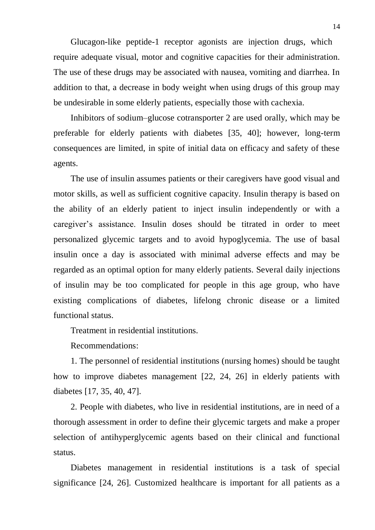Glucagon-like peptide-1 receptor agonists are injection drugs, which require adequate visual, motor and cognitive capacities for their administration. The use of these drugs may be associated with nausea, vomiting and diarrhea. In addition to that, a decrease in body weight when using drugs of this group may be undesirable in some elderly patients, especially those with cachexia.

Inhibitors of sodium–glucose cotransporter 2 are used orally, which may be preferable for elderly patients with diabetes [35, 40]; however, long-term consequences are limited, in spite of initial data on efficacy and safety of these agents.

The use of insulin assumes patients or their caregivers have good visual and motor skills, as well as sufficient cognitive capacity. Insulin therapy is based on the ability of an elderly patient to inject insulin independently or with a caregiver's assistance. Insulin doses should be titrated in order to meet personalized glycemic targets and to avoid hypoglycemia. The use of basal insulin once a day is associated with minimal adverse effects and may be regarded as an optimal option for many elderly patients. Several daily injections of insulin may be too complicated for people in this age group, who have existing complications of diabetes, lifelong chronic disease or a limited functional status.

Treatment in residential institutions.

Recommendations:

1. The personnel of residential institutions (nursing homes) should be taught how to improve diabetes management [22, 24, 26] in elderly patients with diabetes [17, 35, 40, 47].

2. People with diabetes, who live in residential institutions, are in need of a thorough assessment in order to define their glycemic targets and make a proper selection of antihyperglycemic agents based on their clinical and functional status.

Diabetes management in residential institutions is a task of special significance [24, 26]. Customized healthcare is important for all patients as a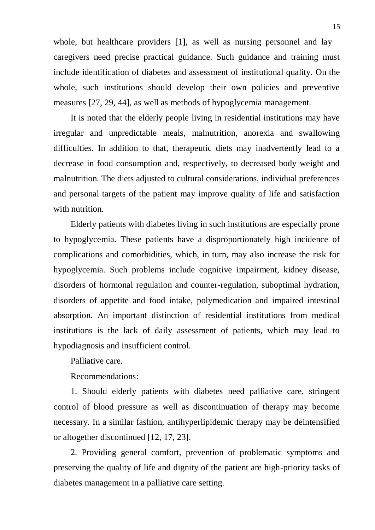whole, but healthcare providers [1], as well as nursing personnel and lay caregivers need precise practical guidance. Such guidance and training must include identification of diabetes and assessment of institutional quality. On the whole, such institutions should develop their own policies and preventive measures [27, 29, 44], as well as methods of hypoglycemia management.

It is noted that the elderly people living in residential institutions may have irregular and unpredictable meals, malnutrition, anorexia and swallowing difficulties. In addition to that, therapeutic diets may inadvertently lead to a decrease in food consumption and, respectively, to decreased body weight and malnutrition. The diets adjusted to cultural considerations, individual preferences and personal targets of the patient may improve quality of life and satisfaction with nutrition.

Elderly patients with diabetes living in such institutions are especially prone to hypoglycemia. These patients have a disproportionately high incidence of complications and comorbidities, which, in turn, may also increase the risk for hypoglycemia. Such problems include cognitive impairment, kidney disease, disorders of hormonal regulation and counter-regulation, suboptimal hydration, disorders of appetite and food intake, polymedication and impaired intestinal absorption. An important distinction of residential institutions from medical institutions is the lack of daily assessment of patients, which may lead to hypodiagnosis and insufficient control.

Palliative care.

Recommendations:

1. Should elderly patients with diabetes need palliative care, stringent control of blood pressure as well as discontinuation of therapy may become necessary. In a similar fashion, antihyperlipidemic therapy may be deintensified or altogether discontinued [12, 17, 23].

2. Providing general comfort, prevention of problematic symptoms and preserving the quality of life and dignity of the patient are high-priority tasks of diabetes management in a palliative care setting.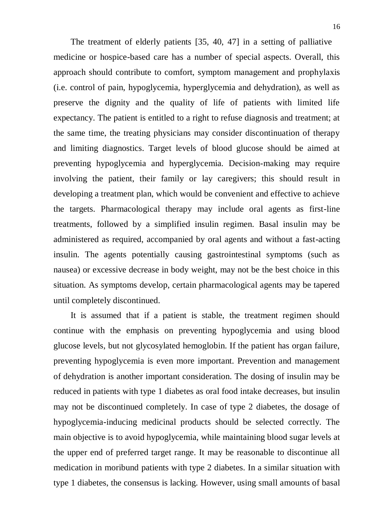The treatment of elderly patients [35, 40, 47] in a setting of palliative medicine or hospice-based care has a number of special aspects. Overall, this approach should contribute to comfort, symptom management and prophylaxis (i.e. control of pain, hypoglycemia, hyperglycemia and dehydration), as well as preserve the dignity and the quality of life of patients with limited life expectancy. The patient is entitled to a right to refuse diagnosis and treatment; at the same time, the treating physicians may consider discontinuation of therapy and limiting diagnostics. Target levels of blood glucose should be aimed at preventing hypoglycemia and hyperglycemia. Decision-making may require involving the patient, their family or lay caregivers; this should result in developing a treatment plan, which would be convenient and effective to achieve the targets. Pharmacological therapy may include oral agents as first-line treatments, followed by a simplified insulin regimen. Basal insulin may be administered as required, accompanied by oral agents and without a fast-acting insulin. The agents potentially causing gastrointestinal symptoms (such as nausea) or excessive decrease in body weight, may not be the best choice in this situation. As symptoms develop, certain pharmacological agents may be tapered until completely discontinued.

It is assumed that if a patient is stable, the treatment regimen should continue with the emphasis on preventing hypoglycemia and using blood glucose levels, but not glycosylated hemoglobin. If the patient has organ failure, preventing hypoglycemia is even more important. Prevention and management of dehydration is another important consideration. The dosing of insulin may be reduced in patients with type 1 diabetes as oral food intake decreases, but insulin may not be discontinued completely. In case of type 2 diabetes, the dosage of hypoglycemia-inducing medicinal products should be selected correctly. The main objective is to avoid hypoglycemia, while maintaining blood sugar levels at the upper end of preferred target range. It may be reasonable to discontinue all medication in moribund patients with type 2 diabetes. In a similar situation with type 1 diabetes, the consensus is lacking. However, using small amounts of basal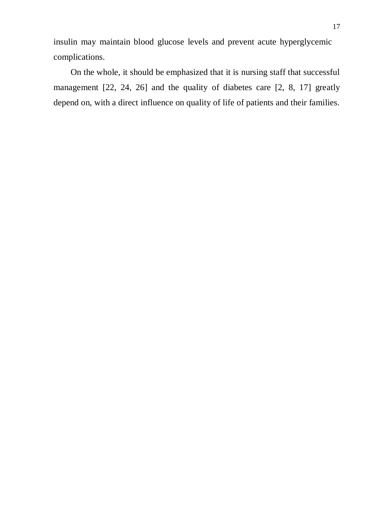insulin may maintain blood glucose levels and prevent acute hyperglycemic complications.

On the whole, it should be emphasized that it is nursing staff that successful management [22, 24, 26] and the quality of diabetes care [2, 8, 17] greatly depend on, with a direct influence on quality of life of patients and their families.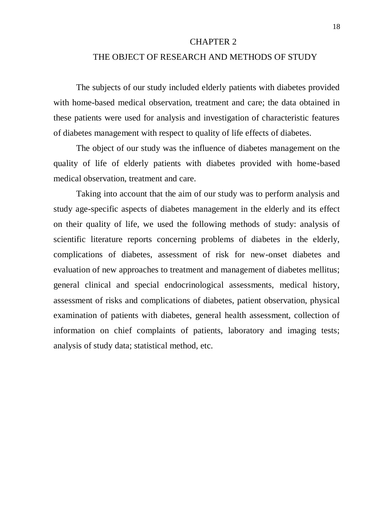#### CHAPTER 2

### THE OBJECT OF RESEARCH AND METHODS OF STUDY

The subjects of our study included elderly patients with diabetes provided with home-based medical observation, treatment and care; the data obtained in these patients were used for analysis and investigation of characteristic features of diabetes management with respect to quality of life effects of diabetes.

The object of our study was the influence of diabetes management on the quality of life of elderly patients with diabetes provided with home-based medical observation, treatment and care.

Taking into account that the aim of our study was to perform analysis and study age-specific aspects of diabetes management in the elderly and its effect on their quality of life, we used the following methods of study: analysis of scientific literature reports concerning problems of diabetes in the elderly, complications of diabetes, assessment of risk for new-onset diabetes and evaluation of new approaches to treatment and management of diabetes mellitus; general clinical and special endocrinological assessments, medical history, assessment of risks and complications of diabetes, patient observation, physical examination of patients with diabetes, general health assessment, collection of information on chief complaints of patients, laboratory and imaging tests; analysis of study data; statistical method, etc.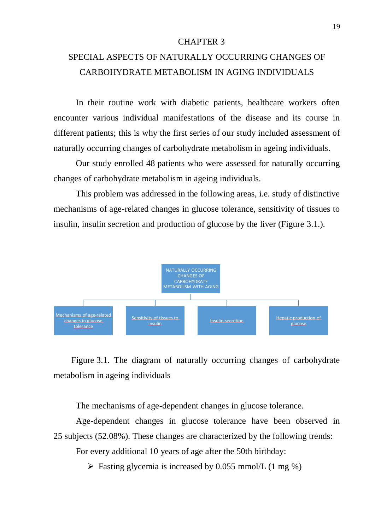### CHAPTER 3

# SPECIAL ASPECTS OF NATURALLY OCCURRING CHANGES OF CARBOHYDRATE METABOLISM IN AGING INDIVIDUALS

In their routine work with diabetic patients, healthcare workers often encounter various individual manifestations of the disease and its course in different patients; this is why the first series of our study included assessment of naturally occurring changes of carbohydrate metabolism in ageing individuals.

Our study enrolled 48 patients who were assessed for naturally occurring changes of carbohydrate metabolism in ageing individuals.

This problem was addressed in the following areas, i.e. study of distinctive mechanisms of age-related changes in glucose tolerance, sensitivity of tissues to insulin, insulin secretion and production of glucose by the liver (Figure 3.1.).



Figure 3.1. The diagram of naturally occurring changes of carbohydrate metabolism in ageing individuals

The mechanisms of age-dependent changes in glucose tolerance.

Age-dependent changes in glucose tolerance have been observed in 25 subjects (52.08%). These changes are characterized by the following trends:

For every additional 10 years of age after the 50th birthday:

 $\triangleright$  Fasting glycemia is increased by 0.055 mmol/L (1 mg %)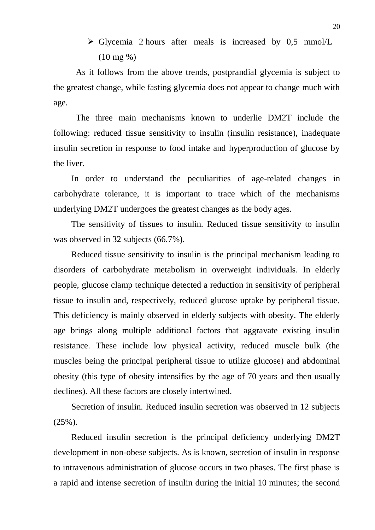$\triangleright$  Glycemia 2 hours after meals is increased by 0,5 mmol/L (10 mg %)

As it follows from the above trends, postprandial glycemia is subject to the greatest change, while fasting glycemia does not appear to change much with age.

The three main mechanisms known to underlie DM2T include the following: reduced tissue sensitivity to insulin (insulin resistance), inadequate insulin secretion in response to food intake and hyperproduction of glucose by the liver.

In order to understand the peculiarities of age-related changes in carbohydrate tolerance, it is important to trace which of the mechanisms underlying DM2T undergoes the greatest changes as the body ages.

The sensitivity of tissues to insulin. Reduced tissue sensitivity to insulin was observed in 32 subjects (66.7%).

Reduced tissue sensitivity to insulin is the principal mechanism leading to disorders of carbohydrate metabolism in overweight individuals. In elderly people, glucose clamp technique detected a reduction in sensitivity of peripheral tissue to insulin and, respectively, reduced glucose uptake by peripheral tissue. This deficiency is mainly observed in elderly subjects with obesity. The elderly age brings along multiple additional factors that aggravate existing insulin resistance. These include low physical activity, reduced muscle bulk (the muscles being the principal peripheral tissue to utilize glucose) and abdominal obesity (this type of obesity intensifies by the age of 70 years and then usually declines). All these factors are closely intertwined.

Secretion of insulin. Reduced insulin secretion was observed in 12 subjects (25%).

Reduced insulin secretion is the principal deficiency underlying DM2T development in non-obese subjects. As is known, secretion of insulin in response to intravenous administration of glucose occurs in two phases. The first phase is a rapid and intense secretion of insulin during the initial 10 minutes; the second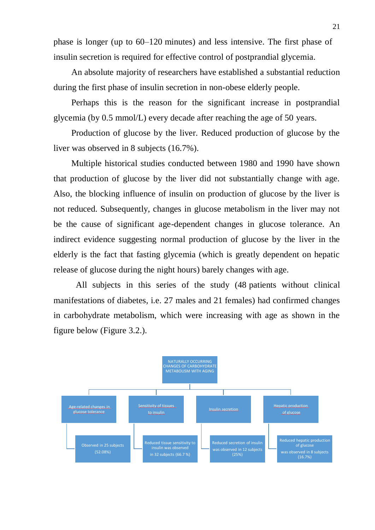phase is longer (up to 60–120 minutes) and less intensive. The first phase of insulin secretion is required for effective control of postprandial glycemia.

An absolute majority of researchers have established a substantial reduction during the first phase of insulin secretion in non-obese elderly people.

Perhaps this is the reason for the significant increase in postprandial glycemia (by 0.5 mmol/L) every decade after reaching the age of 50 years.

Production of glucose by the liver. Reduced production of glucose by the liver was observed in 8 subjects (16.7%).

Multiple historical studies conducted between 1980 and 1990 have shown that production of glucose by the liver did not substantially change with age. Also, the blocking influence of insulin on production of glucose by the liver is not reduced. Subsequently, changes in glucose metabolism in the liver may not be the cause of significant age-dependent changes in glucose tolerance. An indirect evidence suggesting normal production of glucose by the liver in the elderly is the fact that fasting glycemia (which is greatly dependent on hepatic release of glucose during the night hours) barely changes with age.

All subjects in this series of the study (48 patients without clinical manifestations of diabetes, i.e. 27 males and 21 females) had confirmed changes in carbohydrate metabolism, which were increasing with age as shown in the figure below (Figure 3.2.).

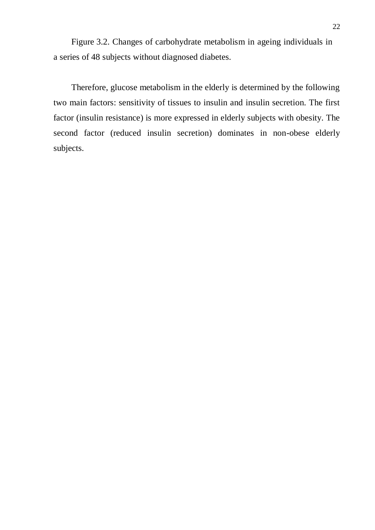Figure 3.2. Changes of carbohydrate metabolism in ageing individuals in a series of 48 subjects without diagnosed diabetes.

Therefore, glucose metabolism in the elderly is determined by the following two main factors: sensitivity of tissues to insulin and insulin secretion. The first factor (insulin resistance) is more expressed in elderly subjects with obesity. The second factor (reduced insulin secretion) dominates in non-obese elderly subjects.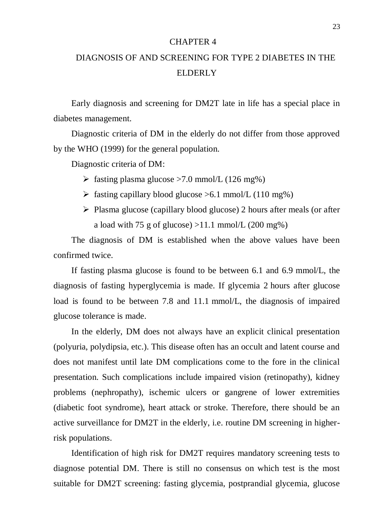### CHAPTER 4

# DIAGNOSIS OF AND SCREENING FOR TYPE 2 DIABETES IN THE ELDERLY

Early diagnosis and screening for DM2T late in life has a special place in diabetes management.

Diagnostic criteria of DM in the elderly do not differ from those approved by the WHO (1999) for the general population.

Diagnostic criteria of DM:

- $\ge$  fasting plasma glucose >7.0 mmol/L (126 mg%)
- $\triangleright$  fasting capillary blood glucose  $>6.1$  mmol/L (110 mg%)
- $\triangleright$  Plasma glucose (capillary blood glucose) 2 hours after meals (or after a load with 75 g of glucose)  $>11.1$  mmol/L (200 mg%)

The diagnosis of DM is established when the above values have been confirmed twice.

If fasting plasma glucose is found to be between 6.1 and 6.9 mmol/L, the diagnosis of fasting hyperglycemia is made. If glycemia 2 hours after glucose load is found to be between 7.8 and 11.1 mmol/L, the diagnosis of impaired glucose tolerance is made.

In the elderly, DM does not always have an explicit clinical presentation (polyuria, polydipsia, etc.). This disease often has an occult and latent course and does not manifest until late DM complications come to the fore in the clinical presentation. Such complications include impaired vision (retinopathy), kidney problems (nephropathy), ischemic ulcers or gangrene of lower extremities (diabetic foot syndrome), heart attack or stroke. Therefore, there should be an active surveillance for DM2T in the elderly, i.e. routine DM screening in higherrisk populations.

Identification of high risk for DM2T requires mandatory screening tests to diagnose potential DM. There is still no consensus on which test is the most suitable for DM2T screening: fasting glycemia, postprandial glycemia, glucose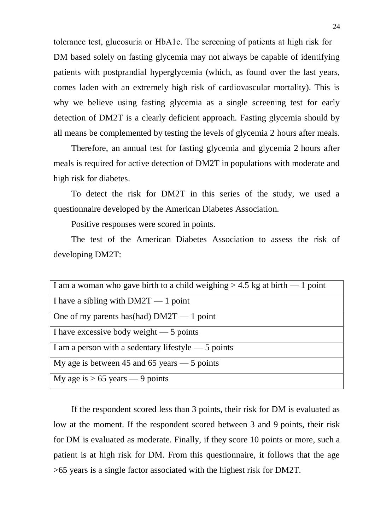tolerance test, glucosuria or НbА1с. The screening of patients at high risk for DM based solely on fasting glycemia may not always be capable of identifying patients with postprandial hyperglycemia (which, as found over the last years, comes laden with an extremely high risk of cardiovascular mortality). This is why we believe using fasting glycemia as a single screening test for early detection of DM2T is a clearly deficient approach. Fasting glycemia should by all means be complemented by testing the levels of glycemia 2 hours after meals.

Therefore, an annual test for fasting glycemia and glycemia 2 hours after meals is required for active detection of DM2T in populations with moderate and high risk for diabetes.

To detect the risk for DM2T in this series of the study, we used a questionnaire developed by the American Diabetes Association.

Positive responses were scored in points.

The test of the American Diabetes Association to assess the risk of developing DM2T:

| I am a woman who gave birth to a child weighing $> 4.5$ kg at birth $-1$ point |
|--------------------------------------------------------------------------------|
| I have a sibling with $DM2T - 1$ point                                         |
| One of my parents has $(had)$ DM2T — 1 point                                   |
| I have excessive body weight $-5$ points                                       |
| I am a person with a sedentary lifestyle $-5$ points                           |
| My age is between 45 and 65 years $-$ 5 points                                 |
| My age is $> 65$ years — 9 points                                              |

If the respondent scored less than 3 points, their risk for DM is evaluated as low at the moment. If the respondent scored between 3 and 9 points, their risk for DM is evaluated as moderate. Finally, if they score 10 points or more, such a patient is at high risk for DM. From this questionnaire, it follows that the age >65 years is a single factor associated with the highest risk for DM2T.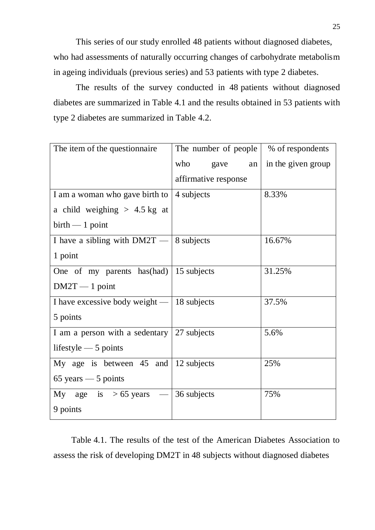This series of our study enrolled 48 patients without diagnosed diabetes, who had assessments of naturally occurring changes of carbohydrate metabolism in ageing individuals (previous series) and 53 patients with type 2 diabetes.

The results of the survey conducted in 48 patients without diagnosed diabetes are summarized in Table 4.1 and the results obtained in 53 patients with type 2 diabetes are summarized in Table 4.2.

| The item of the questionnaire                | The number of people | % of respondents   |
|----------------------------------------------|----------------------|--------------------|
|                                              | who<br>gave<br>an    | in the given group |
|                                              | affirmative response |                    |
| I am a woman who gave birth to               | 4 subjects           | 8.33%              |
| a child weighing $> 4.5$ kg at               |                      |                    |
| $birth - 1 point$                            |                      |                    |
| I have a sibling with $DM2T -$               | 8 subjects           | 16.67%             |
| 1 point                                      |                      |                    |
| One of my parents has $(had)$   15 subjects  |                      | 31.25%             |
| $DM2T - 1$ point                             |                      |                    |
| I have excessive body weight $-$ 18 subjects |                      | 37.5%              |
| 5 points                                     |                      |                    |
| I am a person with a sedentary 27 subjects   |                      | 5.6%               |
| lifestyle $-5$ points                        |                      |                    |
| My age is between $45$ and $ 12$ subjects    |                      | 25%                |
| $65$ years $-5$ points                       |                      |                    |
| My age is $> 65$ years $-$ 36 subjects       |                      | 75%                |
| 9 points                                     |                      |                    |

Table 4.1. The results of the test of the American Diabetes Association to assess the risk of developing DM2T in 48 subjects without diagnosed diabetes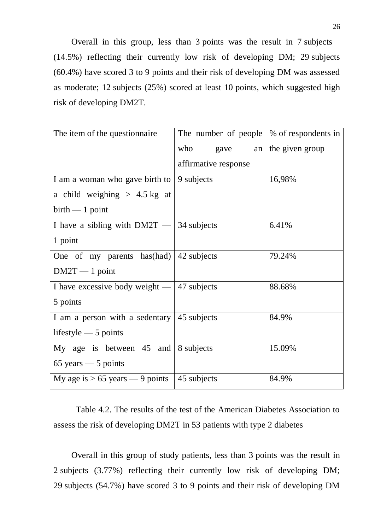Overall in this group, less than 3 points was the result in 7 subjects (14.5%) reflecting their currently low risk of developing DM; 29 subjects (60.4%) have scored 3 to 9 points and their risk of developing DM was assessed as moderate; 12 subjects (25%) scored at least 10 points, which suggested high risk of developing DM2T.

| The item of the question aire                      | The number of people | % of respondents in |
|----------------------------------------------------|----------------------|---------------------|
|                                                    | who<br>gave<br>an    | the given group     |
|                                                    | affirmative response |                     |
| I am a woman who gave birth to                     | 9 subjects           | 16,98%              |
| a child weighing $> 4.5$ kg at                     |                      |                     |
| $birth - 1 point$                                  |                      |                     |
| I have a sibling with $DM2T - 34$ subjects         |                      | 6.41%               |
| 1 point                                            |                      |                     |
| One of my parents has (had)                        | 42 subjects          | 79.24%              |
| $DM2T - 1$ point                                   |                      |                     |
| I have excessive body weight $-$ 47 subjects       |                      | 88.68%              |
| 5 points                                           |                      |                     |
| I am a person with a sedentary $\vert$ 45 subjects |                      | 84.9%               |
| lifestyle $-5$ points                              |                      |                     |
| My age is between $45$ and $8$ subjects            |                      | 15.09%              |
| $65$ years $-5$ points                             |                      |                     |
| My age is $> 65$ years — 9 points                  | 45 subjects          | 84.9%               |

Table 4.2. The results of the test of the American Diabetes Association to assess the risk of developing DM2T in 53 patients with type 2 diabetes

Overall in this group of study patients, less than 3 points was the result in 2 subjects (3.77%) reflecting their currently low risk of developing DM; 29 subjects (54.7%) have scored 3 to 9 points and their risk of developing DM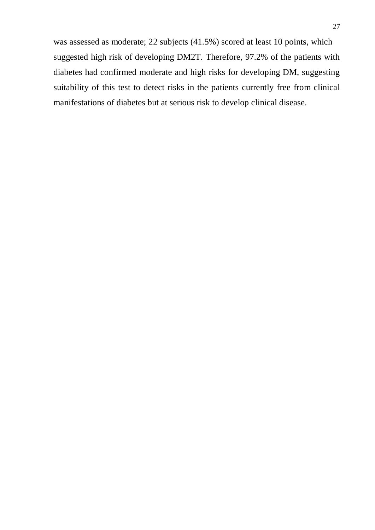was assessed as moderate; 22 subjects (41.5%) scored at least 10 points, which suggested high risk of developing DM2T. Therefore, 97.2% of the patients with diabetes had confirmed moderate and high risks for developing DM, suggesting suitability of this test to detect risks in the patients currently free from clinical manifestations of diabetes but at serious risk to develop clinical disease.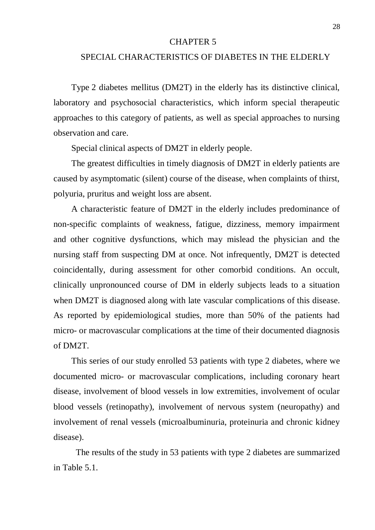### CHAPTER 5

### SPECIAL CHARACTERISTICS OF DIABETES IN THE ELDERLY

Type 2 diabetes mellitus (DM2T) in the elderly has its distinctive clinical, laboratory and psychosocial characteristics, which inform special therapeutic approaches to this category of patients, as well as special approaches to nursing observation and care.

Special clinical aspects of DM2T in elderly people.

The greatest difficulties in timely diagnosis of DM2T in elderly patients are caused by asymptomatic (silent) course of the disease, when complaints of thirst, polyuria, pruritus and weight loss are absent.

A characteristic feature of DM2T in the elderly includes predominance of non-specific complaints of weakness, fatigue, dizziness, memory impairment and other cognitive dysfunctions, which may mislead the physician and the nursing staff from suspecting DM at once. Not infrequently, DM2T is detected coincidentally, during assessment for other comorbid conditions. An occult, clinically unpronounced course of DM in elderly subjects leads to a situation when DM2T is diagnosed along with late vascular complications of this disease. As reported by epidemiological studies, more than 50% of the patients had micro- or macrovascular complications at the time of their documented diagnosis of DM2T.

This series of our study enrolled 53 patients with type 2 diabetes, where we documented micro- or macrovascular complications, including coronary heart disease, involvement of blood vessels in low extremities, involvement of ocular blood vessels (retinopathy), involvement of nervous system (neuropathy) and involvement of renal vessels (microalbuminuria, proteinuria and chronic kidney disease).

The results of the study in 53 patients with type 2 diabetes are summarized in Table 5.1.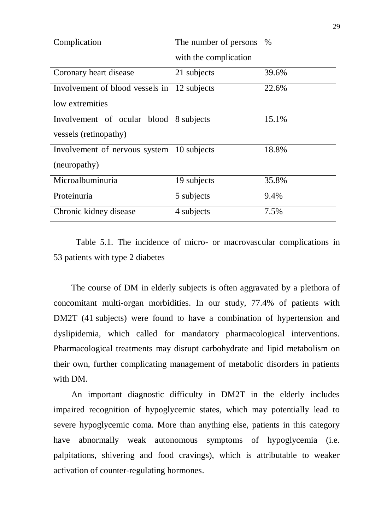| Complication                    | The number of persons | $\%$  |
|---------------------------------|-----------------------|-------|
|                                 | with the complication |       |
| Coronary heart disease          | 21 subjects           | 39.6% |
| Involvement of blood vessels in | 12 subjects           | 22.6% |
| low extremities                 |                       |       |
| Involvement of ocular blood     | 8 subjects            | 15.1% |
| vessels (retinopathy)           |                       |       |
| Involvement of nervous system   | 10 subjects           | 18.8% |
| (neuropathy)                    |                       |       |
| Microalbuminuria                | 19 subjects           | 35.8% |
| Proteinuria                     | 5 subjects            | 9.4%  |
| Chronic kidney disease          | 4 subjects            | 7.5%  |

Table 5.1. The incidence of micro- or macrovascular complications in 53 patients with type 2 diabetes

The course of DM in elderly subjects is often aggravated by a plethora of concomitant multi-organ morbidities. In our study, 77.4% of patients with DM2T (41 subjects) were found to have a combination of hypertension and dyslipidemia, which called for mandatory pharmacological interventions. Pharmacological treatments may disrupt carbohydrate and lipid metabolism on their own, further complicating management of metabolic disorders in patients with DM.

An important diagnostic difficulty in DM2T in the elderly includes impaired recognition of hypoglycemic states, which may potentially lead to severe hypoglycemic coma. More than anything else, patients in this category have abnormally weak autonomous symptoms of hypoglycemia (i.e. palpitations, shivering and food cravings), which is attributable to weaker activation of counter-regulating hormones.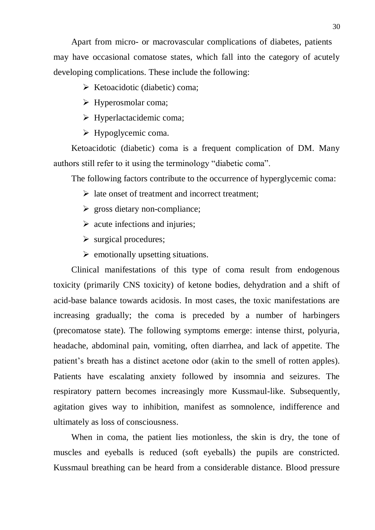Apart from micro- or macrovascular complications of diabetes, patients may have occasional comatose states, which fall into the category of acutely developing complications. These include the following:

 $\triangleright$  Ketoacidotic (diabetic) coma;

 $\triangleright$  Hyperosmolar coma;

 $\triangleright$  Hyperlactacidemic coma;

 $\triangleright$  Hypoglycemic coma.

Ketoacidotic (diabetic) coma is a frequent complication of DM. Many authors still refer to it using the terminology "diabetic coma".

The following factors contribute to the occurrence of hyperglycemic coma:

- $\triangleright$  late onset of treatment and incorrect treatment;
- $\triangleright$  gross dietary non-compliance;
- $\triangleright$  acute infections and injuries;
- $\triangleright$  surgical procedures;
- $\triangleright$  emotionally upsetting situations.

Clinical manifestations of this type of coma result from endogenous toxicity (primarily CNS toxicity) of ketone bodies, dehydration and a shift of acid-base balance towards acidosis. In most cases, the toxic manifestations are increasing gradually; the coma is preceded by a number of harbingers (precomatose state). The following symptoms emerge: intense thirst, polyuria, headache, abdominal pain, vomiting, often diarrhea, and lack of appetite. The patient's breath has a distinct acetone odor (akin to the smell of rotten apples). Patients have escalating anxiety followed by insomnia and seizures. The respiratory pattern becomes increasingly more Kussmaul-like. Subsequently, agitation gives way to inhibition, manifest as somnolence, indifference and ultimately as loss of consciousness.

When in coma, the patient lies motionless, the skin is dry, the tone of muscles and eyeballs is reduced (soft eyeballs) the pupils are constricted. Kussmaul breathing can be heard from a considerable distance. Blood pressure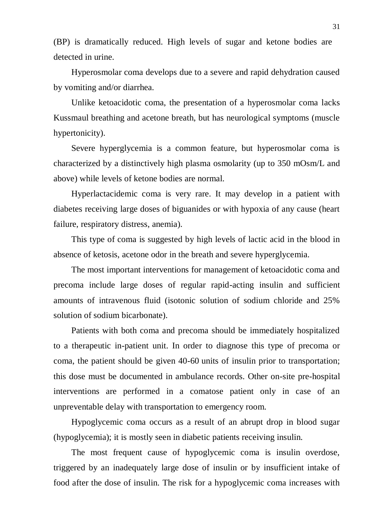(BP) is dramatically reduced. High levels of sugar and ketone bodies are detected in urine.

Hyperosmolar coma develops due to a severe and rapid dehydration caused by vomiting and/or diarrhea.

Unlike ketoacidotic coma, the presentation of a hyperosmolar coma lacks Kussmaul breathing and acetone breath, but has neurological symptoms (muscle hypertonicity).

Severe hyperglycemia is a common feature, but hyperosmolar coma is characterized by a distinctively high plasma osmolarity (up to 350 mOsm/L and above) while levels of ketone bodies are normal.

Hyperlactacidemic coma is very rare. It may develop in a patient with diabetes receiving large doses of biguanides or with hypoxia of any cause (heart failure, respiratory distress, anemia).

This type of coma is suggested by high levels of lactic acid in the blood in absence of ketosis, acetone odor in the breath and severe hyperglycemia.

The most important interventions for management of ketoacidotic coma and precoma include large doses of regular rapid-acting insulin and sufficient amounts of intravenous fluid (isotonic solution of sodium chloride and 25% solution of sodium bicarbonate).

Patients with both coma and precoma should be immediately hospitalized to a therapeutic in-patient unit. In order to diagnose this type of precoma or coma, the patient should be given 40-60 units of insulin prior to transportation; this dose must be documented in ambulance records. Other on-site pre-hospital interventions are performed in a comatose patient only in case of an unpreventable delay with transportation to emergency room.

Hypoglycemic coma occurs as a result of an abrupt drop in blood sugar (hypoglycemia); it is mostly seen in diabetic patients receiving insulin.

The most frequent cause of hypoglycemic coma is insulin overdose, triggered by an inadequately large dose of insulin or by insufficient intake of food after the dose of insulin. The risk for a hypoglycemic coma increases with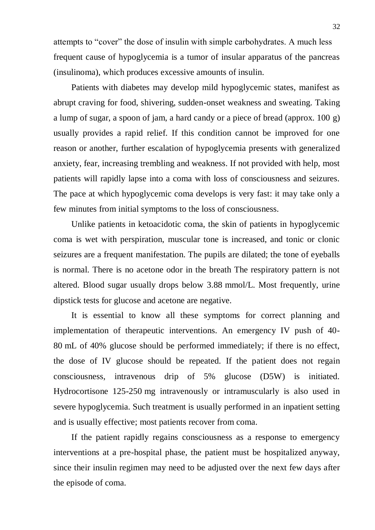attempts to "cover" the dose of insulin with simple carbohydrates. A much less frequent cause of hypoglycemia is a tumor of insular apparatus of the pancreas (insulinoma), which produces excessive amounts of insulin.

Patients with diabetes may develop mild hypoglycemic states, manifest as abrupt craving for food, shivering, sudden-onset weakness and sweating. Taking a lump of sugar, a spoon of jam, a hard candy or a piece of bread (approx. 100 g) usually provides a rapid relief. If this condition cannot be improved for one reason or another, further escalation of hypoglycemia presents with generalized anxiety, fear, increasing trembling and weakness. If not provided with help, most patients will rapidly lapse into a coma with loss of consciousness and seizures. The pace at which hypoglycemic coma develops is very fast: it may take only a few minutes from initial symptoms to the loss of consciousness.

Unlike patients in ketoacidotic coma, the skin of patients in hypoglycemic coma is wet with perspiration, muscular tone is increased, and tonic or clonic seizures are a frequent manifestation. The pupils are dilated; the tone of eyeballs is normal. There is no acetone odor in the breath The respiratory pattern is not altered. Blood sugar usually drops below 3.88 mmol/L. Most frequently, urine dipstick tests for glucose and acetone are negative.

It is essential to know all these symptoms for correct planning and implementation of therapeutic interventions. An emergency IV push of 40- 80 mL of 40% glucose should be performed immediately; if there is no effect, the dose of IV glucose should be repeated. If the patient does not regain consciousness, intravenous drip of 5% glucose (D5W) is initiated. Hydrocortisone 125-250 mg intravenously or intramuscularly is also used in severe hypoglycemia. Such treatment is usually performed in an inpatient setting and is usually effective; most patients recover from coma.

If the patient rapidly regains consciousness as a response to emergency interventions at a pre-hospital phase, the patient must be hospitalized anyway, since their insulin regimen may need to be adjusted over the next few days after the episode of coma.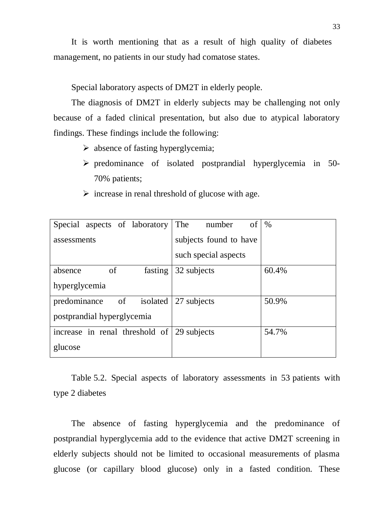It is worth mentioning that as a result of high quality of diabetes management, no patients in our study had comatose states.

Special laboratory aspects of DM2T in elderly people.

The diagnosis of DM2T in elderly subjects may be challenging not only because of a faded clinical presentation, but also due to atypical laboratory findings. These findings include the following:

- $\triangleright$  absence of fasting hyperglycemia;
- $\triangleright$  predominance of isolated postprandial hyperglycemia in 50-70% patients;

| Special aspects of laboratory  | The<br>of<br>number    | $\%$  |
|--------------------------------|------------------------|-------|
| assessments                    | subjects found to have |       |
|                                | such special aspects   |       |
| absence<br>of<br>fasting       | 32 subjects            | 60.4% |
| hyperglycemia                  |                        |       |
| of isolated<br>predominance    | 27 subjects            | 50.9% |
| postprandial hyperglycemia     |                        |       |
| increase in renal threshold of | 29 subjects            | 54.7% |
| glucose                        |                        |       |

 $\triangleright$  increase in renal threshold of glucose with age.

Table 5.2. Special aspects of laboratory assessments in 53 patients with type 2 diabetes

The absence of fasting hyperglycemia and the predominance of postprandial hyperglycemia add to the evidence that active DM2T screening in elderly subjects should not be limited to occasional measurements of plasma glucose (or capillary blood glucose) only in a fasted condition. These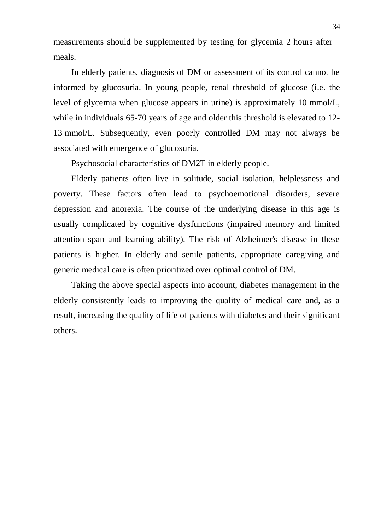measurements should be supplemented by testing for glycemia 2 hours after meals.

In elderly patients, diagnosis of DM or assessment of its control cannot be informed by glucosuria. In young people, renal threshold of glucose (i.e. the level of glycemia when glucose appears in urine) is approximately 10 mmol/L, while in individuals 65-70 years of age and older this threshold is elevated to 12- 13 mmol/L. Subsequently, even poorly controlled DM may not always be associated with emergence of glucosuria.

Psychosocial characteristics of DM2T in elderly people.

Elderly patients often live in solitude, social isolation, helplessness and poverty. These factors often lead to psychoemotional disorders, severe depression and anorexia. The course of the underlying disease in this age is usually complicated by cognitive dysfunctions (impaired memory and limited attention span and learning ability). The risk of Alzheimer's disease in these patients is higher. In elderly and senile patients, appropriate caregiving and generic medical care is often prioritized over optimal control of DM.

Taking the above special aspects into account, diabetes management in the elderly consistently leads to improving the quality of medical care and, as a result, increasing the quality of life of patients with diabetes and their significant others.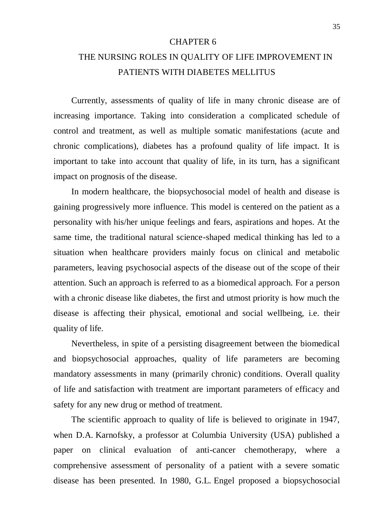### CHAPTER 6

# THE NURSING ROLES IN QUALITY OF LIFE IMPROVEMENT IN PATIENTS WITH DIABETES MELLITUS

Currently, assessments of quality of life in many chronic disease are of increasing importance. Taking into consideration a complicated schedule of control and treatment, as well as multiple somatic manifestations (acute and chronic complications), diabetes has a profound quality of life impact. It is important to take into account that quality of life, in its turn, has a significant impact on prognosis of the disease.

In modern healthcare, the biopsychosocial model of health and disease is gaining progressively more influence. This model is centered on the patient as a personality with his/her unique feelings and fears, aspirations and hopes. At the same time, the traditional natural science-shaped medical thinking has led to a situation when healthcare providers mainly focus on clinical and metabolic parameters, leaving psychosocial aspects of the disease out of the scope of their attention. Such an approach is referred to as a biomedical approach. For a person with a chronic disease like diabetes, the first and utmost priority is how much the disease is affecting their physical, emotional and social wellbeing, i.e. their quality of life.

Nevertheless, in spite of a persisting disagreement between the biomedical and biopsychosocial approaches, quality of life parameters are becoming mandatory assessments in many (primarily chronic) conditions. Overall quality of life and satisfaction with treatment are important parameters of efficacy and safety for any new drug or method of treatment.

The scientific approach to quality of life is believed to originate in 1947, when D.A. Karnofsky, a professor at Columbia University (USA) published a paper on clinical evaluation of anti-cancer chemotherapy, where a comprehensive assessment of personality of a patient with a severe somatic disease has been presented. In 1980, G.L. Engel proposed a biopsychosocial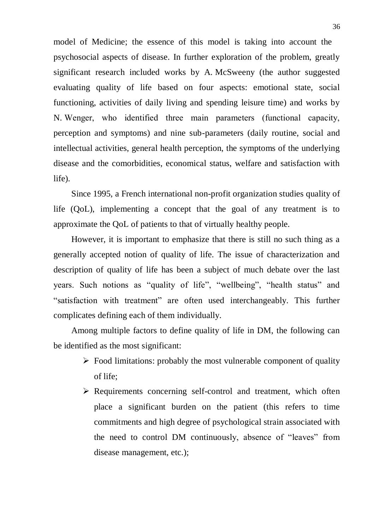model of Medicine; the essence of this model is taking into account the psychosocial aspects of disease. In further exploration of the problem, greatly significant research included works by A. McSweeny (the author suggested evaluating quality of life based on four aspects: emotional state, social functioning, activities of daily living and spending leisure time) and works by N. Wengеr, who identified three main parameters (functional capacity, perception and symptoms) and nine sub-parameters (daily routine, social and intellectual activities, general health perception, the symptoms of the underlying disease and the comorbidities, economical status, welfare and satisfaction with life).

Since 1995, a French international non-profit organization studies quality of life (QoL), implementing a concept that the goal of any treatment is to approximate the QoL of patients to that of virtually healthy people.

However, it is important to emphasize that there is still no such thing as a generally accepted notion of quality of life. The issue of characterization and description of quality of life has been a subject of much debate over the last years. Such notions as "quality of life", "wellbeing", "health status" and "satisfaction with treatment" are often used interchangeably. This further complicates defining each of them individually.

Among multiple factors to define quality of life in DM, the following can be identified as the most significant:

- $\triangleright$  Food limitations: probably the most vulnerable component of quality of life;
- $\triangleright$  Requirements concerning self-control and treatment, which often place a significant burden on the patient (this refers to time commitments and high degree of psychological strain associated with the need to control DM continuously, absence of "leaves" from disease management, etc.);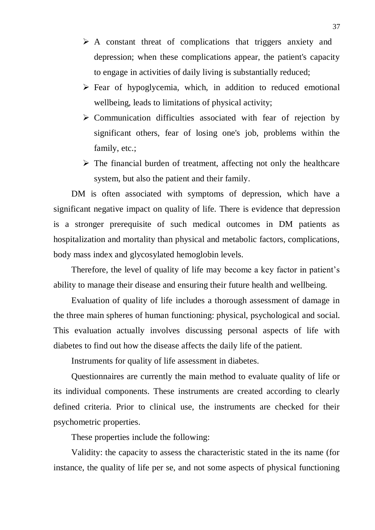- $\triangleright$  A constant threat of complications that triggers anxiety and depression; when these complications appear, the patient's capacity to engage in activities of daily living is substantially reduced;
- $\triangleright$  Fear of hypoglycemia, which, in addition to reduced emotional wellbeing, leads to limitations of physical activity;
- $\triangleright$  Communication difficulties associated with fear of rejection by significant others, fear of losing one's job, problems within the family, etc.;
- $\triangleright$  The financial burden of treatment, affecting not only the healthcare system, but also the patient and their family.

DM is often associated with symptoms of depression, which have a significant negative impact on quality of life. There is evidence that depression is a stronger prerequisite of such medical outcomes in DM patients as hospitalization and mortality than physical and metabolic factors, complications, body mass index and glycosylated hemoglobin levels.

Therefore, the level of quality of life may become a key factor in patient's ability to manage their disease and ensuring their future health and wellbeing.

Evaluation of quality of life includes a thorough assessment of damage in the three main spheres of human functioning: physical, psychological and social. This evaluation actually involves discussing personal aspects of life with diabetes to find out how the disease affects the daily life of the patient.

Instruments for quality of life assessment in diabetes.

Questionnaires are currently the main method to evaluate quality of life or its individual components. These instruments are created according to clearly defined criteria. Prior to clinical use, the instruments are checked for their psychometric properties.

These properties include the following:

Validity: the capacity to assess the characteristic stated in the its name (for instance, the quality of life per se, and not some aspects of physical functioning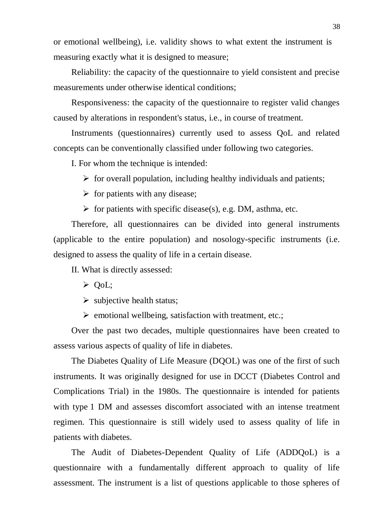or emotional wellbeing), i.e. validity shows to what extent the instrument is measuring exactly what it is designed to measure;

Reliability: the capacity of the questionnaire to yield consistent and precise measurements under otherwise identical conditions;

Responsiveness: the capacity of the questionnaire to register valid changes caused by alterations in respondent's status, i.e., in course of treatment.

Instruments (questionnaires) currently used to assess QoL and related concepts can be conventionally classified under following two categories.

I. For whom the technique is intended:

 $\triangleright$  for overall population, including healthy individuals and patients;

 $\triangleright$  for patients with any disease;

 $\triangleright$  for patients with specific disease(s), e.g. DM, asthma, etc.

Therefore, all questionnaires can be divided into general instruments (applicable to the entire population) and nosology-specific instruments (i.e. designed to assess the quality of life in a certain disease.

II. What is directly assessed:

 $\triangleright$  QoL;

 $\triangleright$  subjective health status;

 $\triangleright$  emotional wellbeing, satisfaction with treatment, etc.;

Over the past two decades, multiple questionnaires have been created to assess various aspects of quality of life in diabetes.

The Diabetes Quality of Life Measure (DQOL) was one of the first of such instruments. It was originally designed for use in DCCT (Diabetes Control and Complications Trial) in the 1980s. The questionnaire is intended for patients with type 1 DM and assesses discomfort associated with an intense treatment regimen. This questionnaire is still widely used to assess quality of life in patients with diabetes.

The Audit of Diabetes-Dependent Quality of Life (ADDQoL) is a questionnaire with a fundamentally different approach to quality of life assessment. The instrument is a list of questions applicable to those spheres of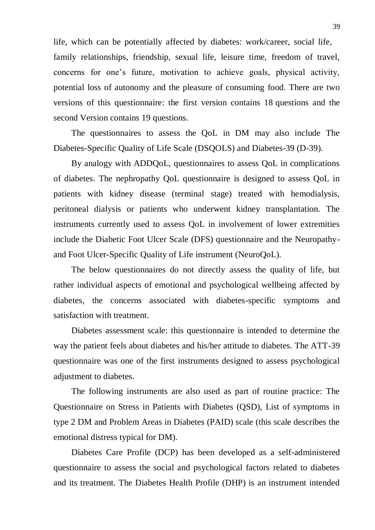life, which can be potentially affected by diabetes: work/career, social life, family relationships, friendship, sexual life, leisure time, freedom of travel, concerns for one's future, motivation to achieve goals, physical activity, potential loss of autonomy and the pleasure of consuming food. There are two versions of this questionnaire: the first version contains 18 questions and the second Version contains 19 questions.

The questionnaires to assess the QoL in DM may also include The Diabetes-Specific Quality of Life Scale (DSQOLS) and Diabetes-39 (D-39).

By analogy with ADDQoL, questionnaires to assess QoL in complications of diabetes. The nephropathy QoL questionnaire is designed to assess QoL in patients with kidney disease (terminal stage) treated with hemodialysis, peritoneal dialysis or patients who underwent kidney transplantation. The instruments currently used to assess QoL in involvement of lower extremities include the Diabetic Foot Ulcer Scale (DFS) questionnaire and the Neuropathyand Foot Ulcer-Specific Quality of Life instrument (NeuroQoL).

The below questionnaires do not directly assess the quality of life, but rather individual aspects of emotional and psychological wellbeing affected by diabetes, the concerns associated with diabetes-specific symptoms and satisfaction with treatment.

Diabetes assessment scale: this questionnaire is intended to determine the way the patient feels about diabetes and his/her attitude to diabetes. The ATT-39 questionnaire was one of the first instruments designed to assess psychological adjustment to diabetes.

The following instruments are also used as part of routine practice: The Questionnaire on Stress in Patients with Diabetes (QSD), List of symptoms in type 2 DM and Problem Areas in Diabetes (PAID) scale (this scale describes the emotional distress typical for DM).

Diabetes Care Profile (DCP) has been developed as a self-administered questionnaire to assess the social and psychological factors related to diabetes and its treatment. The Diabetes Health Profile (DHP) is an instrument intended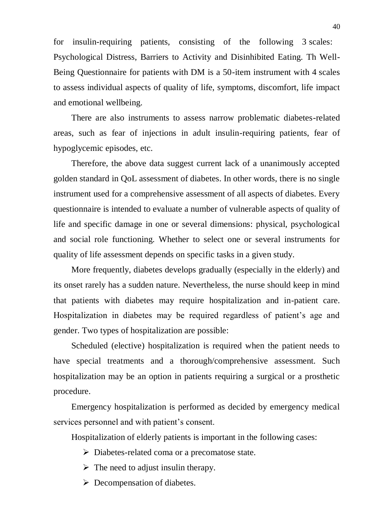for insulin-requiring patients, consisting of the following 3 scales: Psychological Distress, Barriers to Activity and Disinhibited Eating. Th Well-Being Questionnaire for patients with DM is a 50-item instrument with 4 scales to assess individual aspects of quality of life, symptoms, discomfort, life impact and emotional wellbeing.

There are also instruments to assess narrow problematic diabetes-related areas, such as fear of injections in adult insulin-requiring patients, fear of hypoglycemic episodes, etc.

Therefore, the above data suggest current lack of a unanimously accepted golden standard in QoL assessment of diabetes. In other words, there is no single instrument used for a comprehensive assessment of all aspects of diabetes. Every questionnaire is intended to evaluate a number of vulnerable aspects of quality of life and specific damage in one or several dimensions: physical, psychological and social role functioning. Whether to select one or several instruments for quality of life assessment depends on specific tasks in a given study.

More frequently, diabetes develops gradually (especially in the elderly) and its onset rarely has a sudden nature. Nevertheless, the nurse should keep in mind that patients with diabetes may require hospitalization and in-patient care. Hospitalization in diabetes may be required regardless of patient's age and gender. Two types of hospitalization are possible:

Scheduled (elective) hospitalization is required when the patient needs to have special treatments and a thorough/comprehensive assessment. Such hospitalization may be an option in patients requiring a surgical or a prosthetic procedure.

Emergency hospitalization is performed as decided by emergency medical services personnel and with patient's consent.

Hospitalization of elderly patients is important in the following cases:

- $\triangleright$  Diabetes-related coma or a precomatose state.
- $\triangleright$  The need to adjust insulin therapy.
- $\triangleright$  Decompensation of diabetes.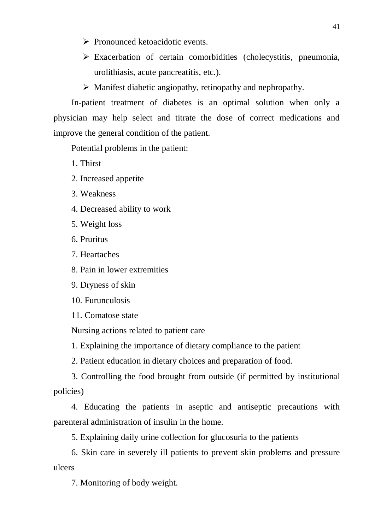- $\triangleright$  Pronounced ketoacidotic events.
- $\triangleright$  Exacerbation of certain comorbidities (cholecystitis, pneumonia, urolithiasis, acute pancreatitis, etc.).
- Manifest diabetic angiopathy, retinopathy and nephropathy.

In-patient treatment of diabetes is an optimal solution when only a physician may help select and titrate the dose of correct medications and improve the general condition of the patient.

Potential problems in the patient:

1. Thirst

- 2. Increased appetite
- 3. Weakness
- 4. Decreased ability to work
- 5. Weight loss
- 6. Pruritus
- 7. Heartaches

8. Pain in lower extremities

- 9. Dryness of skin
- 10. Furunculosis
- 11. Comatose state

Nursing actions related to patient care

1. Explaining the importance of dietary compliance to the patient

2. Patient education in dietary choices and preparation of food.

3. Controlling the food brought from outside (if permitted by institutional policies)

4. Educating the patients in aseptic and antiseptic precautions with parenteral administration of insulin in the home.

5. Explaining daily urine collection for glucosuria to the patients

6. Skin care in severely ill patients to prevent skin problems and pressure ulcers

7. Monitoring of body weight.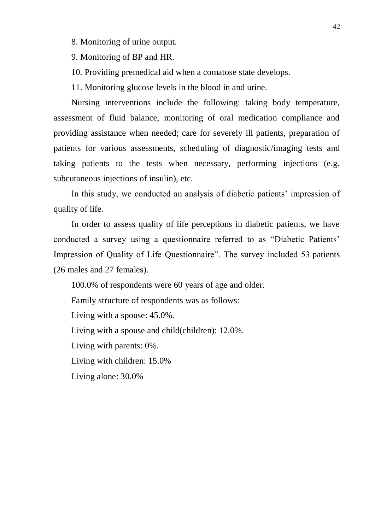- 8. Monitoring of urine output.
- 9. Monitoring of BP and HR.
- 10. Providing premedical aid when a comatose state develops.
- 11. Monitoring glucose levels in the blood in and urine.

Nursing interventions include the following: taking body temperature, assessment of fluid balance, monitoring of oral medication compliance and providing assistance when needed; care for severely ill patients, preparation of patients for various assessments, scheduling of diagnostic/imaging tests and taking patients to the tests when necessary, performing injections (e.g. subcutaneous injections of insulin), etc.

In this study, we conducted an analysis of diabetic patients' impression of quality of life.

In order to assess quality of life perceptions in diabetic patients, we have conducted a survey using a questionnaire referred to as "Diabetic Patients' Impression of Quality of Life Questionnaire". The survey included 53 patients (26 males and 27 females).

100.0% of respondents were 60 years of age and older. Family structure of respondents was as follows: Living with a spouse: 45.0%. Living with a spouse and child(children): 12.0%. Living with parents: 0%. Living with children: 15.0% Living alone: 30.0%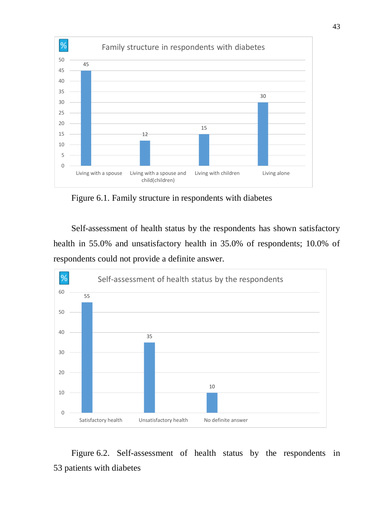

Figure 6.1. Family structure in respondents with diabetes

Self-assessment of health status by the respondents has shown satisfactory health in 55.0% and unsatisfactory health in 35.0% of respondents; 10.0% of respondents could not provide a definite answer.



Figure 6.2. Self-assessment of health status by the respondents in patients with diabetes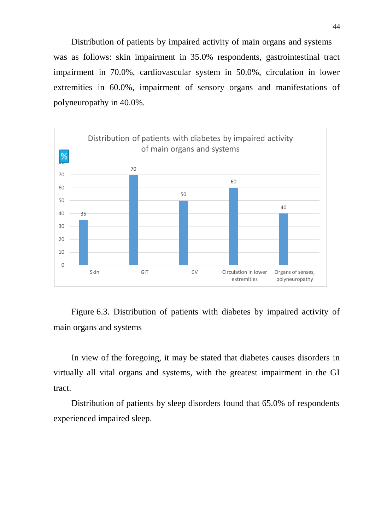Distribution of patients by impaired activity of main organs and systems was as follows: skin impairment in 35.0% respondents, gastrointestinal tract impairment in 70.0%, cardiovascular system in 50.0%, circulation in lower extremities in 60.0%, impairment of sensory organs and manifestations of polyneuropathy in 40.0%.



Figure 6.3. Distribution of patients with diabetes by impaired activity of main organs and systems

In view of the foregoing, it may be stated that diabetes causes disorders in virtually all vital organs and systems, with the greatest impairment in the GI tract.

Distribution of patients by sleep disorders found that 65.0% of respondents experienced impaired sleep.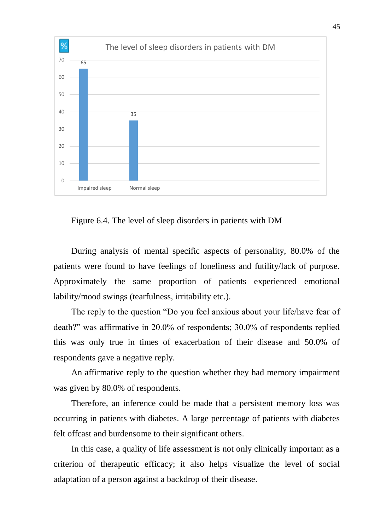

Figure 6.4. The level of sleep disorders in patients with DM

During analysis of mental specific aspects of personality, 80.0% of the patients were found to have feelings of loneliness and futility/lack of purpose. Approximately the same proportion of patients experienced emotional lability/mood swings (tearfulness, irritability etc.).

The reply to the question "Do you feel anxious about your life/have fear of death?" was affirmative in 20.0% of respondents; 30.0% of respondents replied this was only true in times of exacerbation of their disease and 50.0% of respondents gave a negative reply.

An affirmative reply to the question whether they had memory impairment was given by 80.0% of respondents.

Therefore, an inference could be made that a persistent memory loss was occurring in patients with diabetes. A large percentage of patients with diabetes felt offcast and burdensome to their significant others.

In this case, a quality of life assessment is not only clinically important as a criterion of therapeutic efficacy; it also helps visualize the level of social adaptation of a person against a backdrop of their disease.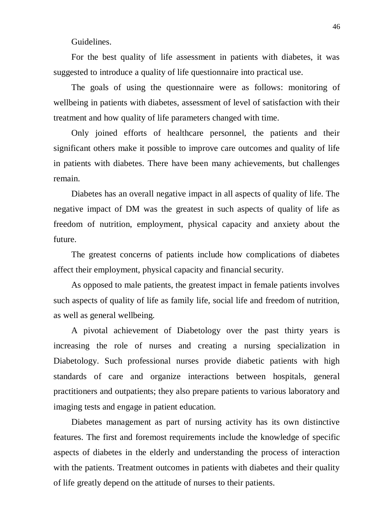Guidelines.

For the best quality of life assessment in patients with diabetes, it was suggested to introduce a quality of life questionnaire into practical use.

The goals of using the questionnaire were as follows: monitoring of wellbeing in patients with diabetes, assessment of level of satisfaction with their treatment and how quality of life parameters changed with time.

Only joined efforts of healthcare personnel, the patients and their significant others make it possible to improve care outcomes and quality of life in patients with diabetes. There have been many achievements, but challenges remain.

Diabetes has an overall negative impact in all aspects of quality of life. The negative impact of DM was the greatest in such aspects of quality of life as freedom of nutrition, employment, physical capacity and anxiety about the future.

The greatest concerns of patients include how complications of diabetes affect their employment, physical capacity and financial security.

As opposed to male patients, the greatest impact in female patients involves such aspects of quality of life as family life, social life and freedom of nutrition, as well as general wellbeing.

A pivotal achievement of Diabetology over the past thirty years is increasing the role of nurses and creating a nursing specialization in Diabetology. Such professional nurses provide diabetic patients with high standards of care and organize interactions between hospitals, general practitioners and outpatients; they also prepare patients to various laboratory and imaging tests and engage in patient education.

Diabetes management as part of nursing activity has its own distinctive features. The first and foremost requirements include the knowledge of specific aspects of diabetes in the elderly and understanding the process of interaction with the patients. Treatment outcomes in patients with diabetes and their quality of life greatly depend on the attitude of nurses to their patients.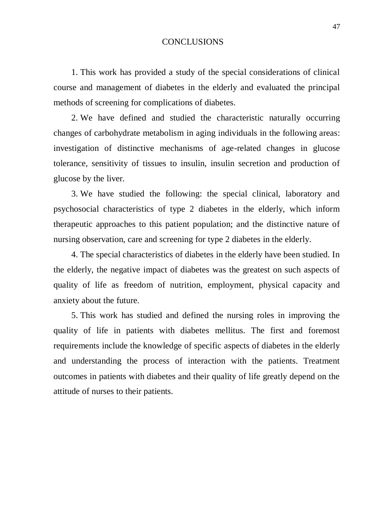### **CONCLUSIONS**

1. This work has provided a study of the special considerations of clinical course and management of diabetes in the elderly and evaluated the principal methods of screening for complications of diabetes.

2. We have defined and studied the characteristic naturally occurring changes of carbohydrate metabolism in aging individuals in the following areas: investigation of distinctive mechanisms of age-related changes in glucose tolerance, sensitivity of tissues to insulin, insulin secretion and production of glucose by the liver.

3. We have studied the following: the special clinical, laboratory and psychosocial characteristics of type 2 diabetes in the elderly, which inform therapeutic approaches to this patient population; and the distinctive nature of nursing observation, care and screening for type 2 diabetes in the elderly.

4. The special characteristics of diabetes in the elderly have been studied. In the elderly, the negative impact of diabetes was the greatest on such aspects of quality of life as freedom of nutrition, employment, physical capacity and anxiety about the future.

5. This work has studied and defined the nursing roles in improving the quality of life in patients with diabetes mellitus. The first and foremost requirements include the knowledge of specific aspects of diabetes in the elderly and understanding the process of interaction with the patients. Treatment outcomes in patients with diabetes and their quality of life greatly depend on the attitude of nurses to their patients.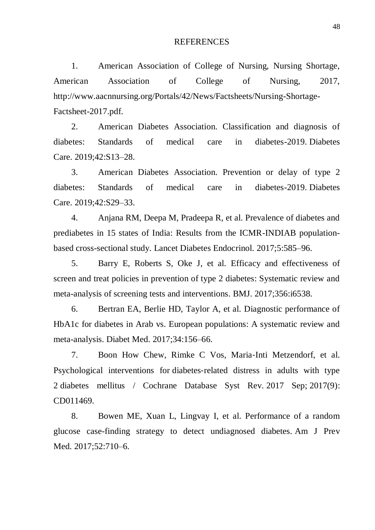#### REFERENCES

1. American Association of College of Nursing, Nursing Shortage, American Association of College of Nursing, 2017, [http://www.aacnnursing.org/Portals/42/News/Factsheets/Nursing-Shortage-](http://www.aacnnursing.org/Portals/42/News/Factsheets/Nursing-Shortage-Factsheet-2017.pdf)[Factsheet-2017.pdf.](http://www.aacnnursing.org/Portals/42/News/Factsheets/Nursing-Shortage-Factsheet-2017.pdf)

2. American Diabetes Association. Classification and diagnosis of diabetes: Standards of medical care in diabetes-2019. Diabetes Care. 2019;42:S13–28.

3. American Diabetes Association. Prevention or delay of type 2 diabetes: Standards of medical care in diabetes-2019. Diabetes Care. 2019;42:S29–33.

4. Anjana RM, Deepa M, Pradeepa R, et al. Prevalence of diabetes and prediabetes in 15 states of India: Results from the ICMR-INDIAB populationbased cross-sectional study. Lancet Diabetes Endocrinol. 2017;5:585–96.

5. Barry E, Roberts S, Oke J, et al. Efficacy and effectiveness of screen and treat policies in prevention of type 2 diabetes: Systematic review and meta-analysis of screening tests and interventions. BMJ. 2017;356:i6538.

6. Bertran EA, Berlie HD, Taylor A, et al. Diagnostic performance of HbA1c for diabetes in Arab vs. European populations: A systematic review and meta-analysis. Diabet Med. 2017;34:156–66.

7. Boon How Chew, Rimke C Vos, Maria‐Inti Metzendorf, et al. Psychological interventions for diabetes‐[related distress in adults with type](https://www.ncbi.nlm.nih.gov/pmc/articles/PMC6483710/)  2 [diabetes mellitus](https://www.ncbi.nlm.nih.gov/pmc/articles/PMC6483710/) / Cochrane Database Syst Rev. 2017 Sep; 2017(9): CD011469.

8. Bowen ME, Xuan L, Lingvay I, et al. Performance of a random glucose case-finding strategy to detect undiagnosed diabetes. Am J Prev Med. 2017;52:710–6.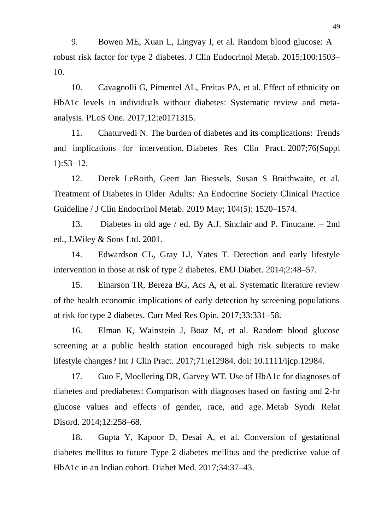9. Bowen ME, Xuan L, Lingvay I, et al. Random blood glucose: A robust risk factor for type 2 diabetes. J Clin Endocrinol Metab. 2015;100:1503– 10.

10. Cavagnolli G, Pimentel AL, Freitas PA, et al. Effect of ethnicity on HbA1c levels in individuals without diabetes: Systematic review and metaanalysis. PLoS One. 2017;12:e0171315.

11. Chaturvedi N. The burden of diabetes and its complications: Trends and implications for intervention. Diabetes Res Clin Pract. 2007;76(Suppl 1):S3–12.

12. Derek LeRoith, Geert Jan Biessels, Susan S Braithwaite, et al. Treatment of Diabetes [in Older Adults: An Endocrine Society Clinical Practice](https://www.ncbi.nlm.nih.gov/pmc/articles/PMC7271968/)  [Guideline](https://www.ncbi.nlm.nih.gov/pmc/articles/PMC7271968/) / J Clin Endocrinol Metab. 2019 May; 104(5): 1520–1574.

13. Diabetes in old age / ed. By A.J. Sinclair and P. Finucane. – 2nd ed., J.Wiley & Sons Ltd. 2001.

14. Edwardson CL, Gray LJ, Yates T. Detection and early lifestyle intervention in those at risk of type 2 diabetes. EMJ Diabet. 2014;2:48–57.

15. Einarson TR, Bereza BG, Acs A, et al. Systematic literature review of the health economic implications of early detection by screening populations at risk for type 2 diabetes. Curr Med Res Opin. 2017;33:331–58.

16. Elman K, Wainstein J, Boaz M, et al. Random blood glucose screening at a public health station encouraged high risk subjects to make lifestyle changes? Int J Clin Pract. 2017;71:e12984. doi: 10.1111/ijcp.12984.

17. Guo F, Moellering DR, Garvey WT. Use of HbA1c for diagnoses of diabetes and prediabetes: Comparison with diagnoses based on fasting and 2-hr glucose values and effects of gender, race, and age. Metab Syndr Relat Disord. 2014;12:258–68.

18. Gupta Y, Kapoor D, Desai A, et al. Conversion of gestational diabetes mellitus to future Type 2 diabetes mellitus and the predictive value of HbA1c in an Indian cohort. Diabet Med. 2017;34:37–43.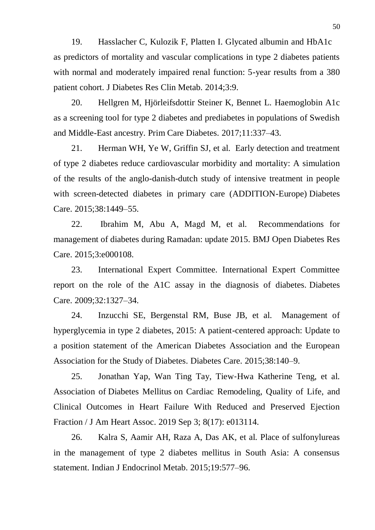19. Hasslacher C, Kulozik F, Platten I. Glycated albumin and HbA1c as predictors of mortality and vascular complications in type 2 diabetes patients with normal and moderately impaired renal function: 5-year results from a 380 patient cohort. J Diabetes Res Clin Metab. 2014;3:9.

20. Hellgren M, Hjörleifsdottir Steiner K, Bennet L. Haemoglobin A1c as a screening tool for type 2 diabetes and prediabetes in populations of Swedish and Middle-East ancestry. Prim Care Diabetes. 2017;11:337–43.

21. Herman WH, Ye W, Griffin SJ, et al. Early detection and treatment of type 2 diabetes reduce cardiovascular morbidity and mortality: A simulation of the results of the anglo-danish-dutch study of intensive treatment in people with screen-detected diabetes in primary care (ADDITION-Europe) Diabetes Care. 2015;38:1449–55.

22. Ibrahim M, Abu A, Magd M, et al. Recommendations for management of diabetes during Ramadan: update 2015. BMJ Open Diabetes Res Care. 2015;3:e000108.

23. International Expert Committee. International Expert Committee report on the role of the A1C assay in the diagnosis of diabetes. Diabetes Care. 2009;32:1327–34.

24. Inzucchi SE, Bergenstal RM, Buse JB, et al. Management of hyperglycemia in type 2 diabetes, 2015: A patient-centered approach: Update to a position statement of the American Diabetes Association and the European Association for the Study of Diabetes. Diabetes Care. 2015;38:140–9.

25. Jonathan Yap, Wan Ting Tay, Tiew‐Hwa Katherine Teng, et al. Association of Diabetes Mellitus [on Cardiac Remodeling, Quality of](https://www.ncbi.nlm.nih.gov/pmc/articles/PMC6755825/) Life, and [Clinical Outcomes in Heart Failure With Reduced and Preserved Ejection](https://www.ncbi.nlm.nih.gov/pmc/articles/PMC6755825/)  [Fraction](https://www.ncbi.nlm.nih.gov/pmc/articles/PMC6755825/) / J Am Heart Assoc. 2019 Sep 3; 8(17): e013114.

26. Kalra S, Aamir AH, Raza A, Das AK, et al. Place of sulfonylureas in the management of type 2 diabetes mellitus in South Asia: A consensus statement. Indian J Endocrinol Metab. 2015;19:577–96.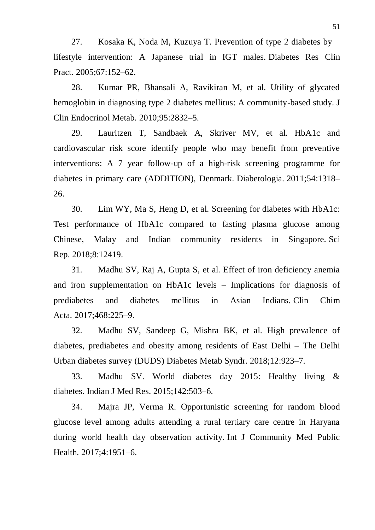27. Kosaka K, Noda M, Kuzuya T. Prevention of type 2 diabetes by lifestyle intervention: A Japanese trial in IGT males. Diabetes Res Clin Pract. 2005;67:152–62.

28. Kumar PR, Bhansali A, Ravikiran M, et al. Utility of glycated hemoglobin in diagnosing type 2 diabetes mellitus: A community-based study. J Clin Endocrinol Metab. 2010;95:2832–5.

29. Lauritzen T, Sandbaek A, Skriver MV, et al. HbA1c and cardiovascular risk score identify people who may benefit from preventive interventions: A 7 year follow-up of a high-risk screening programme for diabetes in primary care (ADDITION), Denmark. Diabetologia. 2011;54:1318– 26.

30. Lim WY, Ma S, Heng D, et al. Screening for diabetes with HbA1c: Test performance of HbA1c compared to fasting plasma glucose among Chinese, Malay and Indian community residents in Singapore. Sci Rep. 2018;8:12419.

31. Madhu SV, Raj A, Gupta S, et al. Effect of iron deficiency anemia and iron supplementation on HbA1c levels – Implications for diagnosis of prediabetes and diabetes mellitus in Asian Indians. Clin Chim Acta. 2017;468:225–9.

32. Madhu SV, Sandeep G, Mishra BK, et al. High prevalence of diabetes, prediabetes and obesity among residents of East Delhi – The Delhi Urban diabetes survey (DUDS) Diabetes Metab Syndr. 2018;12:923–7.

33. Madhu SV. World diabetes day 2015: Healthy living & diabetes. Indian J Med Res. 2015;142:503–6.

34. Majra JP, Verma R. Opportunistic screening for random blood glucose level among adults attending a rural tertiary care centre in Haryana during world health day observation activity. Int J Community Med Public Health. 2017;4:1951–6.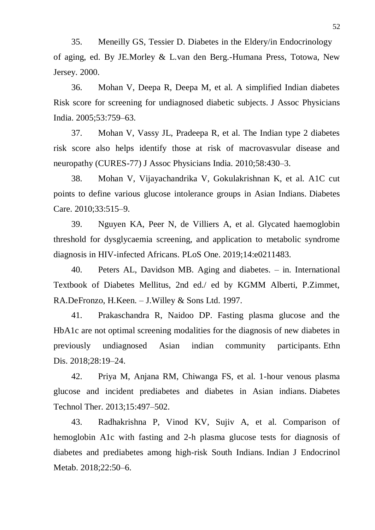35. Meneilly GS, Tessier D. Diabetes in the Eldery/in Endocrinology of aging, ed. By JE.Morley & L.van den Berg.-Humana Press, Totowa, New Jersey. 2000.

36. Mohan V, Deepa R, Deepa M, et al. A simplified Indian diabetes Risk score for screening for undiagnosed diabetic subjects. J Assoc Physicians India. 2005;53:759–63.

37. Mohan V, Vassy JL, Pradeepa R, et al. The Indian type 2 diabetes risk score also helps identify those at risk of macrovasvular disease and neuropathy (CURES-77) J Assoc Physicians India. 2010;58:430–3.

38. Mohan V, Vijayachandrika V, Gokulakrishnan K, et al. A1C cut points to define various glucose intolerance groups in Asian Indians. Diabetes Care. 2010;33:515–9.

39. Nguyen KA, Peer N, de Villiers A, et al. Glycated haemoglobin threshold for dysglycaemia screening, and application to metabolic syndrome diagnosis in HIV-infected Africans. PLoS One. 2019;14:e0211483.

40. Peters AL, Davidson MB. Aging and diabetes. – in. International Textbook of Diabetes Mellitus, 2nd ed./ ed by KGMM Alberti, P.Zimmet, RA.DeFronzo, H.Keen. – J.Willey & Sons Ltd. 1997.

41. Prakaschandra R, Naidoo DP. Fasting plasma glucose and the HbA1c are not optimal screening modalities for the diagnosis of new diabetes in previously undiagnosed Asian indian community participants. Ethn Dis. 2018;28:19–24.

42. Priya M, Anjana RM, Chiwanga FS, et al. 1-hour venous plasma glucose and incident prediabetes and diabetes in Asian indians. Diabetes Technol Ther. 2013;15:497–502.

43. Radhakrishna P, Vinod KV, Sujiv A, et al. Comparison of hemoglobin A1c with fasting and 2-h plasma glucose tests for diagnosis of diabetes and prediabetes among high-risk South Indians. Indian J Endocrinol Metab. 2018;22:50–6.